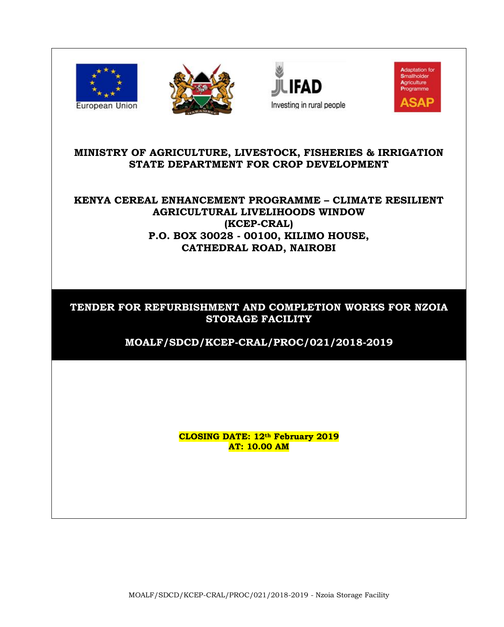







# **MINISTRY OF AGRICULTURE, LIVESTOCK, FISHERIES & IRRIGATION STATE DEPARTMENT FOR CROP DEVELOPMENT**

# **KENYA CEREAL ENHANCEMENT PROGRAMME – CLIMATE RESILIENT AGRICULTURAL LIVELIHOODS WINDOW (KCEP-CRAL) P.O. BOX 30028 - 00100, KILIMO HOUSE, CATHEDRAL ROAD, NAIROBI**

# **TENDER FOR REFURBISHMENT AND COMPLETION WORKS FOR NZOIA STORAGE FACILITY**

# **MOALF/SDCD/KCEP-CRAL/PROC/021/2018-2019**

**CLOSING DATE: 12th February 2019 AT: 10.00 AM**

MOALF/SDCD/KCEP-CRAL/PROC/021/2018-2019 - Nzoia Storage Facility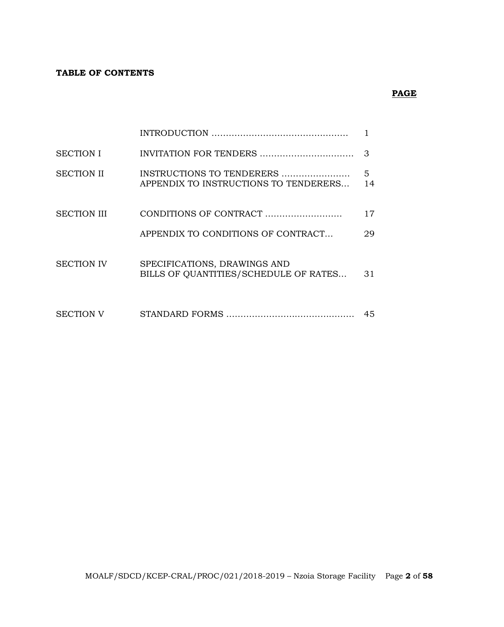# **TABLE OF CONTENTS**

# **PAGE**

| <b>SECTION I</b>   |                                                                       | 3       |
|--------------------|-----------------------------------------------------------------------|---------|
| <b>SECTION II</b>  | INSTRUCTIONS TO TENDERERS<br>APPENDIX TO INSTRUCTIONS TO TENDERERS    | 5<br>14 |
| <b>SECTION III</b> | CONDITIONS OF CONTRACT                                                | 17      |
|                    | APPENDIX TO CONDITIONS OF CONTRACT                                    | 29      |
| <b>SECTION IV</b>  | SPECIFICATIONS, DRAWINGS AND<br>BILLS OF QUANTITIES/SCHEDULE OF RATES | 31      |
| <b>SECTION V</b>   |                                                                       | 45      |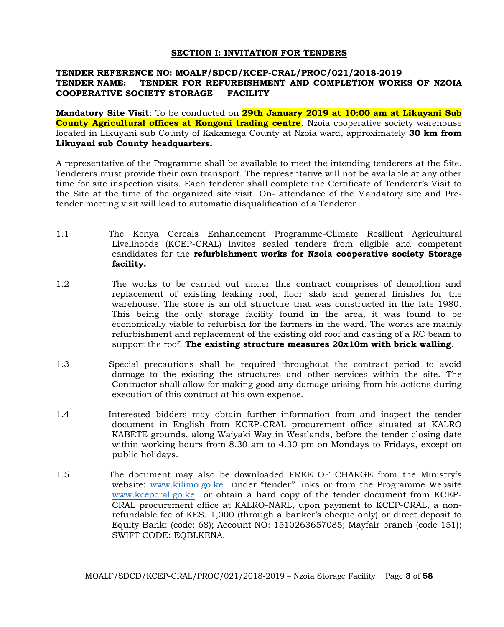#### **SECTION I: INVITATION FOR TENDERS**

#### **TENDER REFERENCE NO: MOALF/SDCD/KCEP-CRAL/PROC/021/2018-2019 TENDER NAME: TENDER FOR REFURBISHMENT AND COMPLETION WORKS OF NZOIA COOPERATIVE SOCIETY STORAGE FACILITY**

**Mandatory Site Visit**: To be conducted on **29th January 2019 at 10:00 am at Likuyani Sub County Agricultural offices at Kongoni trading centre**. Nzoia cooperative society warehouse located in Likuyani sub County of Kakamega County at Nzoia ward, approximately **30 km from Likuyani sub County headquarters.**

A representative of the Programme shall be available to meet the intending tenderers at the Site. Tenderers must provide their own transport. The representative will not be available at any other time for site inspection visits. Each tenderer shall complete the Certificate of Tenderer's Visit to the Site at the time of the organized site visit. On- attendance of the Mandatory site and Pretender meeting visit will lead to automatic disqualification of a Tenderer

- 1.1 The Kenya Cereals Enhancement Programme-Climate Resilient Agricultural Livelihoods (KCEP-CRAL) invites sealed tenders from eligible and competent candidates for the **refurbishment works for Nzoia cooperative society Storage facility.**
- 1.2 The works to be carried out under this contract comprises of demolition and replacement of existing leaking roof, floor slab and general finishes for the warehouse. The store is an old structure that was constructed in the late 1980. This being the only storage facility found in the area, it was found to be economically viable to refurbish for the farmers in the ward. The works are mainly refurbishment and replacement of the existing old roof and casting of a RC beam to support the roof. **The existing structure measures 20x10m with brick walling**.
- 1.3 Special precautions shall be required throughout the contract period to avoid damage to the existing the structures and other services within the site. The Contractor shall allow for making good any damage arising from his actions during execution of this contract at his own expense.
- 1.4 Interested bidders may obtain further information from and inspect the tender document in English from KCEP-CRAL procurement office situated at KALRO KABETE grounds, along Waiyaki Way in Westlands, before the tender closing date within working hours from 8.30 am to 4.30 pm on Mondays to Fridays, except on public holidays.
- 1.5 The document may also be downloaded FREE OF CHARGE from the Ministry's website: [www.kilimo.go.ke](http://www.kilimo.go.ke/) under "tender" links or from the Programme Website [www.kcepcral.go.ke](http://www.kcepcral.go.ke/) or obtain a hard copy of the tender document from KCEP-CRAL procurement office at KALRO-NARL, upon payment to KCEP-CRAL, a nonrefundable fee of KES. 1,000 (through a banker's cheque only) or direct deposit to Equity Bank: (code: 68); Account NO: 1510263657085; Mayfair branch (code 151); SWIFT CODE: EQBLKENA.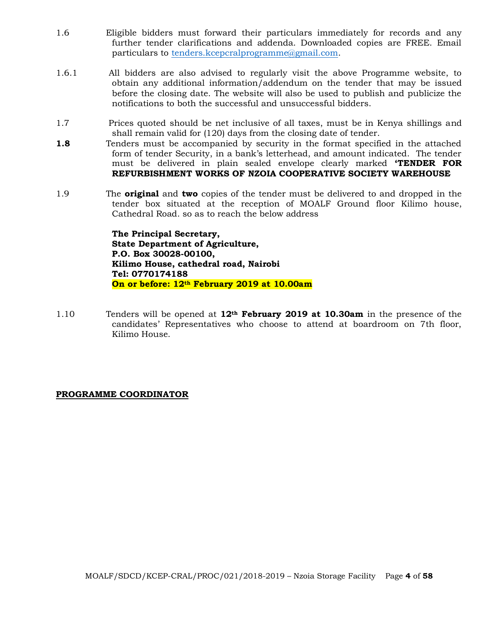- 1.6 Eligible bidders must forward their particulars immediately for records and any further tender clarifications and addenda. Downloaded copies are FREE. Email particulars to [tenders.kcepcralprogramme@gmail.com.](mailto:tenders.kcepcralprogramme@gmail.com)
- 1.6.1 All bidders are also advised to regularly visit the above Programme website, to obtain any additional information/addendum on the tender that may be issued before the closing date. The website will also be used to publish and publicize the notifications to both the successful and unsuccessful bidders.
- 1.7 Prices quoted should be net inclusive of all taxes, must be in Kenya shillings and shall remain valid for (120) days from the closing date of tender.
- **1.8** Tenders must be accompanied by security in the format specified in the attached form of tender Security, in a bank's letterhead, and amount indicated. The tender must be delivered in plain sealed envelope clearly marked **'TENDER FOR REFURBISHMENT WORKS OF NZOIA COOPERATIVE SOCIETY WAREHOUSE**
- 1.9 The **original** and **two** copies of the tender must be delivered to and dropped in the tender box situated at the reception of MOALF Ground floor Kilimo house, Cathedral Road. so as to reach the below address

**The Principal Secretary, State Department of Agriculture, P.O. Box 30028-00100, Kilimo House, cathedral road, Nairobi Tel: 0770174188 On or before: 12th February 2019 at 10.00am**

1.10 Tenders will be opened at **12th February 2019 at 10.30am** in the presence of the candidates' Representatives who choose to attend at boardroom on 7th floor, Kilimo House.

#### **PROGRAMME COORDINATOR**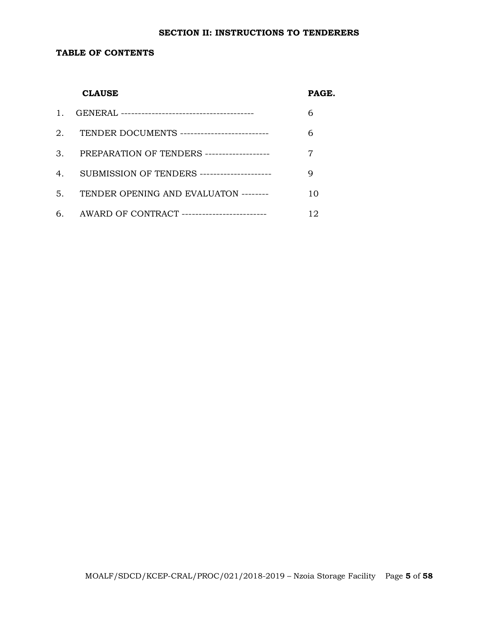#### **SECTION II: INSTRUCTIONS TO TENDERERS**

#### **TABLE OF CONTENTS**

| <b>CLAUSE</b>                                  | PAGE. |
|------------------------------------------------|-------|
|                                                | 6     |
| 2. TENDER DOCUMENTS -------------------------- | 6     |
| 3. PREPARATION OF TENDERS -------------------  | 7     |
| 4. SUBMISSION OF TENDERS --------------------- | 9     |
| 5. TENDER OPENING AND EVALUATON --------       | 10    |
| 6. AWARD OF CONTRACT ------------------------- | 12    |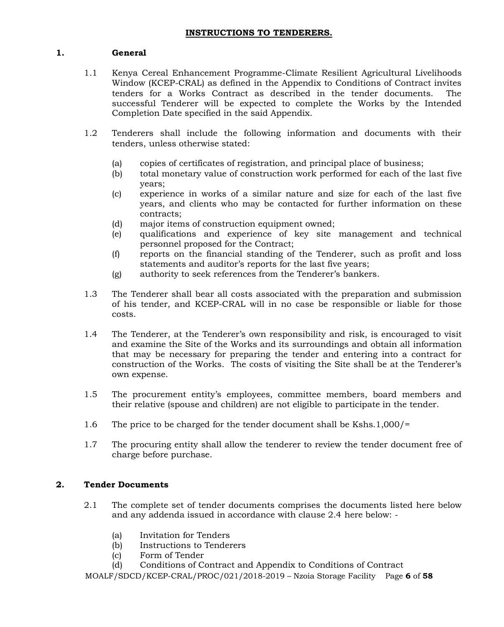# **1. General**

- 1.1 Kenya Cereal Enhancement Programme-Climate Resilient Agricultural Livelihoods Window (KCEP-CRAL) as defined in the Appendix to Conditions of Contract invites tenders for a Works Contract as described in the tender documents. The successful Tenderer will be expected to complete the Works by the Intended Completion Date specified in the said Appendix.
- 1.2 Tenderers shall include the following information and documents with their tenders, unless otherwise stated:
	- (a) copies of certificates of registration, and principal place of business;
	- (b) total monetary value of construction work performed for each of the last five years;
	- (c) experience in works of a similar nature and size for each of the last five years, and clients who may be contacted for further information on these contracts;
	- (d) major items of construction equipment owned;
	- (e) qualifications and experience of key site management and technical personnel proposed for the Contract;
	- (f) reports on the financial standing of the Tenderer, such as profit and loss statements and auditor's reports for the last five years;
	- (g) authority to seek references from the Tenderer's bankers.
- 1.3 The Tenderer shall bear all costs associated with the preparation and submission of his tender, and KCEP-CRAL will in no case be responsible or liable for those costs.
- 1.4 The Tenderer, at the Tenderer's own responsibility and risk, is encouraged to visit and examine the Site of the Works and its surroundings and obtain all information that may be necessary for preparing the tender and entering into a contract for construction of the Works. The costs of visiting the Site shall be at the Tenderer's own expense.
- 1.5 The procurement entity's employees, committee members, board members and their relative (spouse and children) are not eligible to participate in the tender.
- 1.6 The price to be charged for the tender document shall be Kshs.1,000/=
- 1.7 The procuring entity shall allow the tenderer to review the tender document free of charge before purchase.

# **2. Tender Documents**

- 2.1 The complete set of tender documents comprises the documents listed here below and any addenda issued in accordance with clause 2.4 here below: -
	- (a) Invitation for Tenders
	- (b) Instructions to Tenderers
	- (c) Form of Tender
	- (d) Conditions of Contract and Appendix to Conditions of Contract

MOALF/SDCD/KCEP-CRAL/PROC/021/2018-2019 – Nzoia Storage Facility Page **6** of **58**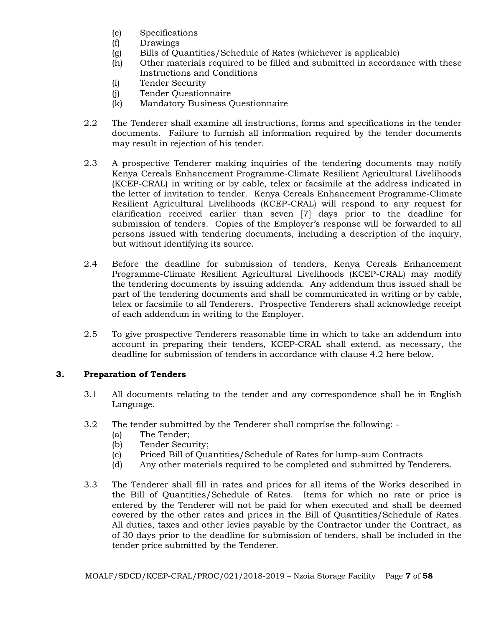- (e) Specifications
- (f) Drawings
- (g) Bills of Quantities/Schedule of Rates (whichever is applicable)
- (h) Other materials required to be filled and submitted in accordance with these Instructions and Conditions
- (i) Tender Security
- (j) Tender Questionnaire
- (k) Mandatory Business Questionnaire
- 2.2 The Tenderer shall examine all instructions, forms and specifications in the tender documents. Failure to furnish all information required by the tender documents may result in rejection of his tender.
- 2.3 A prospective Tenderer making inquiries of the tendering documents may notify Kenya Cereals Enhancement Programme-Climate Resilient Agricultural Livelihoods (KCEP-CRAL) in writing or by cable, telex or facsimile at the address indicated in the letter of invitation to tender. Kenya Cereals Enhancement Programme-Climate Resilient Agricultural Livelihoods (KCEP-CRAL) will respond to any request for clarification received earlier than seven [7] days prior to the deadline for submission of tenders. Copies of the Employer's response will be forwarded to all persons issued with tendering documents, including a description of the inquiry, but without identifying its source.
- 2.4 Before the deadline for submission of tenders, Kenya Cereals Enhancement Programme-Climate Resilient Agricultural Livelihoods (KCEP-CRAL) may modify the tendering documents by issuing addenda. Any addendum thus issued shall be part of the tendering documents and shall be communicated in writing or by cable, telex or facsimile to all Tenderers. Prospective Tenderers shall acknowledge receipt of each addendum in writing to the Employer.
- 2.5 To give prospective Tenderers reasonable time in which to take an addendum into account in preparing their tenders, KCEP-CRAL shall extend, as necessary, the deadline for submission of tenders in accordance with clause 4.2 here below.

# **3. Preparation of Tenders**

- 3.1 All documents relating to the tender and any correspondence shall be in English Language.
- 3.2 The tender submitted by the Tenderer shall comprise the following:
	- (a) The Tender;
	- (b) Tender Security;
	- (c) Priced Bill of Quantities/Schedule of Rates for lump-sum Contracts
	- (d) Any other materials required to be completed and submitted by Tenderers.
- 3.3 The Tenderer shall fill in rates and prices for all items of the Works described in the Bill of Quantities/Schedule of Rates. Items for which no rate or price is entered by the Tenderer will not be paid for when executed and shall be deemed covered by the other rates and prices in the Bill of Quantities/Schedule of Rates. All duties, taxes and other levies payable by the Contractor under the Contract, as of 30 days prior to the deadline for submission of tenders, shall be included in the tender price submitted by the Tenderer.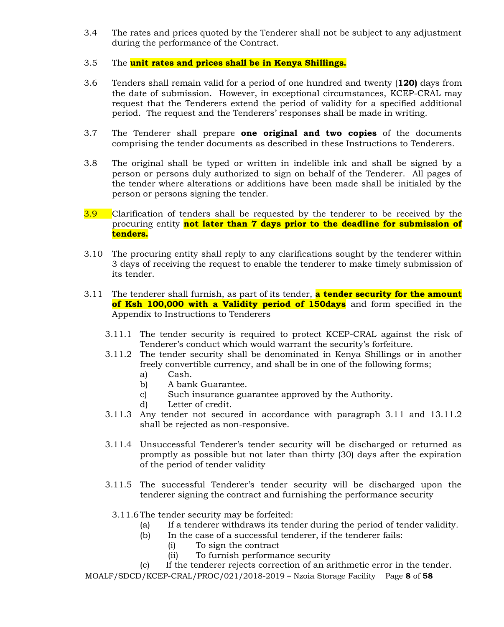3.4 The rates and prices quoted by the Tenderer shall not be subject to any adjustment during the performance of the Contract.

#### 3.5 The **unit rates and prices shall be in Kenya Shillings.**

- 3.6 Tenders shall remain valid for a period of one hundred and twenty (**120)** days from the date of submission. However, in exceptional circumstances, KCEP-CRAL may request that the Tenderers extend the period of validity for a specified additional period. The request and the Tenderers' responses shall be made in writing.
- 3.7 The Tenderer shall prepare **one original and two copies** of the documents comprising the tender documents as described in these Instructions to Tenderers.
- 3.8 The original shall be typed or written in indelible ink and shall be signed by a person or persons duly authorized to sign on behalf of the Tenderer. All pages of the tender where alterations or additions have been made shall be initialed by the person or persons signing the tender.
- 3.9 Clarification of tenders shall be requested by the tenderer to be received by the procuring entity **not later than 7 days prior to the deadline for submission of tenders.**
- 3.10 The procuring entity shall reply to any clarifications sought by the tenderer within 3 days of receiving the request to enable the tenderer to make timely submission of its tender.
- 3.11 The tenderer shall furnish, as part of its tender, **a tender security for the amount of Ksh 100,000 with a Validity period of 150days** and form specified in the Appendix to Instructions to Tenderers
	- 3.11.1 The tender security is required to protect KCEP-CRAL against the risk of Tenderer's conduct which would warrant the security's forfeiture.
	- 3.11.2 The tender security shall be denominated in Kenya Shillings or in another freely convertible currency, and shall be in one of the following forms;
		- a) Cash.
		- b) A bank Guarantee.
		- c) Such insurance guarantee approved by the Authority.
		- d) Letter of credit.
	- 3.11.3 Any tender not secured in accordance with paragraph 3.11 and 13.11.2 shall be rejected as non-responsive.
	- 3.11.4 Unsuccessful Tenderer's tender security will be discharged or returned as promptly as possible but not later than thirty (30) days after the expiration of the period of tender validity
	- 3.11.5 The successful Tenderer's tender security will be discharged upon the tenderer signing the contract and furnishing the performance security
		- 3.11.6The tender security may be forfeited:
			- (a) If a tenderer withdraws its tender during the period of tender validity.
			- (b) In the case of a successful tenderer, if the tenderer fails:
				- (i) To sign the contract
					- (ii) To furnish performance security

(c) If the tenderer rejects correction of an arithmetic error in the tender.

MOALF/SDCD/KCEP-CRAL/PROC/021/2018-2019 – Nzoia Storage Facility Page **8** of **58**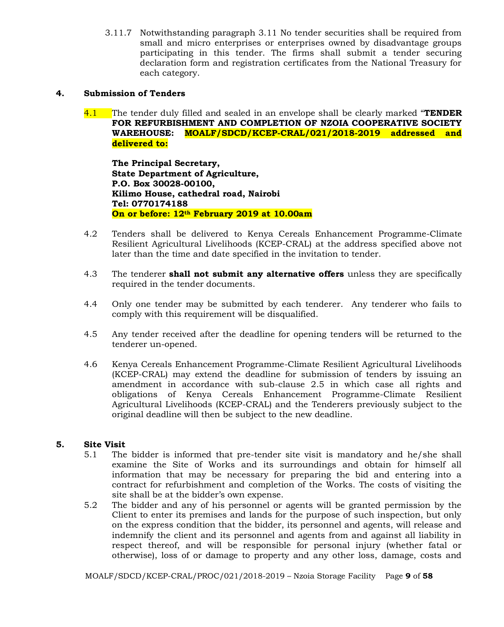3.11.7 Notwithstanding paragraph 3.11 No tender securities shall be required from small and micro enterprises or enterprises owned by disadvantage groups participating in this tender. The firms shall submit a tender securing declaration form and registration certificates from the National Treasury for each category.

#### **4. Submission of Tenders**

4.1 The tender duly filled and sealed in an envelope shall be clearly marked "**TENDER FOR REFURBISHMENT AND COMPLETION OF NZOIA COOPERATIVE SOCIETY WAREHOUSE: MOALF/SDCD/KCEP-CRAL/021/2018-2019 addressed and delivered to:**

**The Principal Secretary, State Department of Agriculture, P.O. Box 30028-00100, Kilimo House, cathedral road, Nairobi Tel: 0770174188 On or before: 12th February 2019 at 10.00am**

- 4.2 Tenders shall be delivered to Kenya Cereals Enhancement Programme-Climate Resilient Agricultural Livelihoods (KCEP-CRAL) at the address specified above not later than the time and date specified in the invitation to tender.
- 4.3 The tenderer **shall not submit any alternative offers** unless they are specifically required in the tender documents.
- 4.4 Only one tender may be submitted by each tenderer. Any tenderer who fails to comply with this requirement will be disqualified.
- 4.5 Any tender received after the deadline for opening tenders will be returned to the tenderer un-opened.
- 4.6 Kenya Cereals Enhancement Programme-Climate Resilient Agricultural Livelihoods (KCEP-CRAL) may extend the deadline for submission of tenders by issuing an amendment in accordance with sub-clause 2.5 in which case all rights and obligations of Kenya Cereals Enhancement Programme-Climate Resilient Agricultural Livelihoods (KCEP-CRAL) and the Tenderers previously subject to the original deadline will then be subject to the new deadline.

#### **5. Site Visit**

- 5.1 The bidder is informed that pre-tender site visit is mandatory and he/she shall examine the Site of Works and its surroundings and obtain for himself all information that may be necessary for preparing the bid and entering into a contract for refurbishment and completion of the Works. The costs of visiting the site shall be at the bidder's own expense.
- 5.2 The bidder and any of his personnel or agents will be granted permission by the Client to enter its premises and lands for the purpose of such inspection, but only on the express condition that the bidder, its personnel and agents, will release and indemnify the client and its personnel and agents from and against all liability in respect thereof, and will be responsible for personal injury (whether fatal or otherwise), loss of or damage to property and any other loss, damage, costs and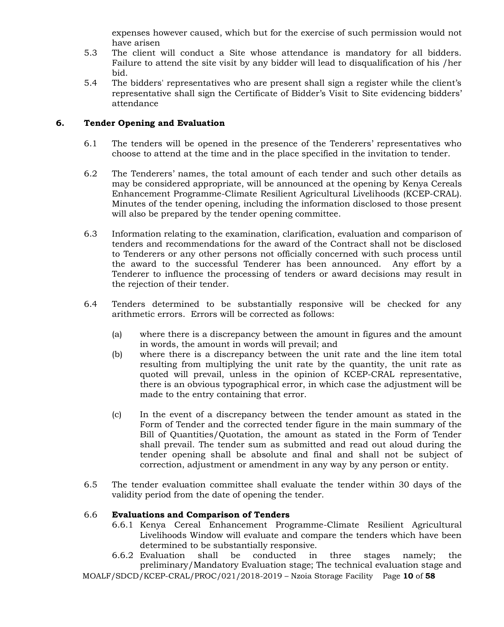expenses however caused, which but for the exercise of such permission would not have arisen

- 5.3 The client will conduct a Site whose attendance is mandatory for all bidders. Failure to attend the site visit by any bidder will lead to disqualification of his /her bid.
- 5.4 The bidders' representatives who are present shall sign a register while the client's representative shall sign the Certificate of Bidder's Visit to Site evidencing bidders' attendance

#### **6. Tender Opening and Evaluation**

- 6.1 The tenders will be opened in the presence of the Tenderers' representatives who choose to attend at the time and in the place specified in the invitation to tender.
- 6.2 The Tenderers' names, the total amount of each tender and such other details as may be considered appropriate, will be announced at the opening by Kenya Cereals Enhancement Programme-Climate Resilient Agricultural Livelihoods (KCEP-CRAL). Minutes of the tender opening, including the information disclosed to those present will also be prepared by the tender opening committee.
- 6.3 Information relating to the examination, clarification, evaluation and comparison of tenders and recommendations for the award of the Contract shall not be disclosed to Tenderers or any other persons not officially concerned with such process until the award to the successful Tenderer has been announced. Any effort by a Tenderer to influence the processing of tenders or award decisions may result in the rejection of their tender.
- 6.4 Tenders determined to be substantially responsive will be checked for any arithmetic errors. Errors will be corrected as follows:
	- (a) where there is a discrepancy between the amount in figures and the amount in words, the amount in words will prevail; and
	- (b) where there is a discrepancy between the unit rate and the line item total resulting from multiplying the unit rate by the quantity, the unit rate as quoted will prevail, unless in the opinion of KCEP-CRAL representative, there is an obvious typographical error, in which case the adjustment will be made to the entry containing that error.
	- (c) In the event of a discrepancy between the tender amount as stated in the Form of Tender and the corrected tender figure in the main summary of the Bill of Quantities/Quotation, the amount as stated in the Form of Tender shall prevail. The tender sum as submitted and read out aloud during the tender opening shall be absolute and final and shall not be subject of correction, adjustment or amendment in any way by any person or entity.
- 6.5 The tender evaluation committee shall evaluate the tender within 30 days of the validity period from the date of opening the tender.

#### 6.6 **Evaluations and Comparison of Tenders**

- 6.6.1 Kenya Cereal Enhancement Programme-Climate Resilient Agricultural Livelihoods Window will evaluate and compare the tenders which have been determined to be substantially responsive.
- 6.6.2 Evaluation shall be conducted in three stages namely; the preliminary/Mandatory Evaluation stage; The technical evaluation stage and

MOALF/SDCD/KCEP-CRAL/PROC/021/2018-2019 – Nzoia Storage Facility Page **10** of **58**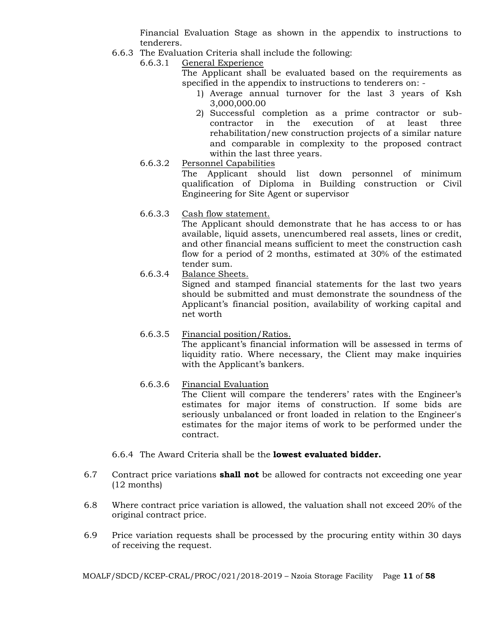Financial Evaluation Stage as shown in the appendix to instructions to tenderers.

- 6.6.3 The Evaluation Criteria shall include the following:
	- 6.6.3.1 General Experience
		- The Applicant shall be evaluated based on the requirements as specified in the appendix to instructions to tenderers on: -
			- 1) Average annual turnover for the last 3 years of Ksh 3,000,000.00
			- 2) Successful completion as a prime contractor or subcontractor in the execution of at least three rehabilitation/new construction projects of a similar nature and comparable in complexity to the proposed contract within the last three years.
	- 6.6.3.2 Personnel Capabilities The Applicant should list down personnel of minimum qualification of Diploma in Building construction or Civil Engineering for Site Agent or supervisor
	- 6.6.3.3 Cash flow statement.

The Applicant should demonstrate that he has access to or has available, liquid assets, unencumbered real assets, lines or credit, and other financial means sufficient to meet the construction cash flow for a period of 2 months, estimated at 30% of the estimated tender sum.

6.6.3.4 Balance Sheets.

Signed and stamped financial statements for the last two years should be submitted and must demonstrate the soundness of the Applicant's financial position, availability of working capital and net worth

6.6.3.5 Financial position/Ratios. The applicant's financial information will be assessed in terms of liquidity ratio. Where necessary, the Client may make inquiries with the Applicant's bankers.

# 6.6.3.6 Financial Evaluation

The Client will compare the tenderers' rates with the Engineer's estimates for major items of construction. If some bids are seriously unbalanced or front loaded in relation to the Engineer's estimates for the major items of work to be performed under the contract.

- 6.6.4 The Award Criteria shall be the **lowest evaluated bidder.**
- 6.7 Contract price variations **shall not** be allowed for contracts not exceeding one year (12 months)
- 6.8 Where contract price variation is allowed, the valuation shall not exceed 20% of the original contract price.
- 6.9 Price variation requests shall be processed by the procuring entity within 30 days of receiving the request.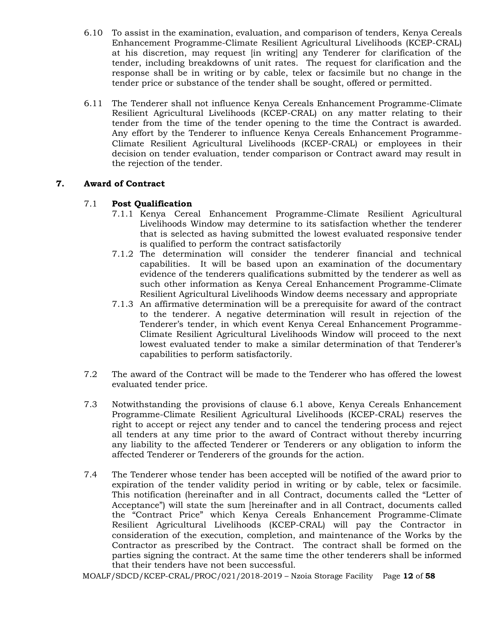- 6.10 To assist in the examination, evaluation, and comparison of tenders, Kenya Cereals Enhancement Programme-Climate Resilient Agricultural Livelihoods (KCEP-CRAL) at his discretion, may request [in writing] any Tenderer for clarification of the tender, including breakdowns of unit rates. The request for clarification and the response shall be in writing or by cable, telex or facsimile but no change in the tender price or substance of the tender shall be sought, offered or permitted.
- 6.11 The Tenderer shall not influence Kenya Cereals Enhancement Programme-Climate Resilient Agricultural Livelihoods (KCEP-CRAL) on any matter relating to their tender from the time of the tender opening to the time the Contract is awarded. Any effort by the Tenderer to influence Kenya Cereals Enhancement Programme-Climate Resilient Agricultural Livelihoods (KCEP-CRAL) or employees in their decision on tender evaluation, tender comparison or Contract award may result in the rejection of the tender.

# **7. Award of Contract**

# 7.1 **Post Qualification**

- 7.1.1 Kenya Cereal Enhancement Programme-Climate Resilient Agricultural Livelihoods Window may determine to its satisfaction whether the tenderer that is selected as having submitted the lowest evaluated responsive tender is qualified to perform the contract satisfactorily
- 7.1.2 The determination will consider the tenderer financial and technical capabilities. It will be based upon an examination of the documentary evidence of the tenderers qualifications submitted by the tenderer as well as such other information as Kenya Cereal Enhancement Programme-Climate Resilient Agricultural Livelihoods Window deems necessary and appropriate
- 7.1.3 An affirmative determination will be a prerequisite for award of the contract to the tenderer. A negative determination will result in rejection of the Tenderer's tender, in which event Kenya Cereal Enhancement Programme-Climate Resilient Agricultural Livelihoods Window will proceed to the next lowest evaluated tender to make a similar determination of that Tenderer's capabilities to perform satisfactorily.
- 7.2 The award of the Contract will be made to the Tenderer who has offered the lowest evaluated tender price.
- 7.3 Notwithstanding the provisions of clause 6.1 above, Kenya Cereals Enhancement Programme-Climate Resilient Agricultural Livelihoods (KCEP-CRAL) reserves the right to accept or reject any tender and to cancel the tendering process and reject all tenders at any time prior to the award of Contract without thereby incurring any liability to the affected Tenderer or Tenderers or any obligation to inform the affected Tenderer or Tenderers of the grounds for the action.
- 7.4 The Tenderer whose tender has been accepted will be notified of the award prior to expiration of the tender validity period in writing or by cable, telex or facsimile. This notification (hereinafter and in all Contract, documents called the "Letter of Acceptance") will state the sum [hereinafter and in all Contract, documents called the "Contract Price" which Kenya Cereals Enhancement Programme-Climate Resilient Agricultural Livelihoods (KCEP-CRAL) will pay the Contractor in consideration of the execution, completion, and maintenance of the Works by the Contractor as prescribed by the Contract. The contract shall be formed on the parties signing the contract. At the same time the other tenderers shall be informed that their tenders have not been successful.

MOALF/SDCD/KCEP-CRAL/PROC/021/2018-2019 – Nzoia Storage Facility Page **12** of **58**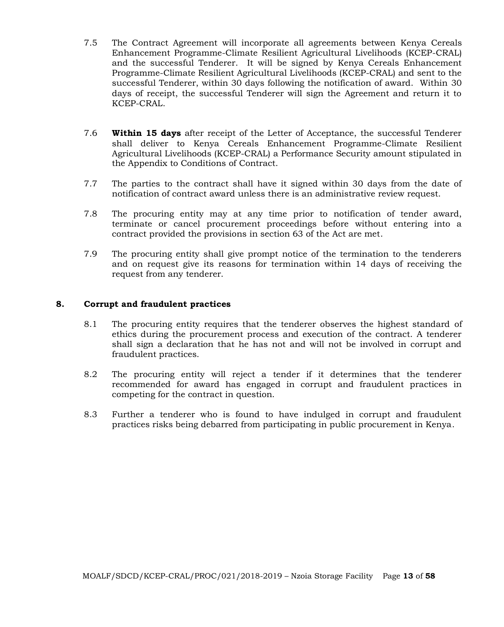- 7.5 The Contract Agreement will incorporate all agreements between Kenya Cereals Enhancement Programme-Climate Resilient Agricultural Livelihoods (KCEP-CRAL) and the successful Tenderer. It will be signed by Kenya Cereals Enhancement Programme-Climate Resilient Agricultural Livelihoods (KCEP-CRAL) and sent to the successful Tenderer, within 30 days following the notification of award. Within 30 days of receipt, the successful Tenderer will sign the Agreement and return it to KCEP-CRAL.
- 7.6 **Within 15 days** after receipt of the Letter of Acceptance, the successful Tenderer shall deliver to Kenya Cereals Enhancement Programme-Climate Resilient Agricultural Livelihoods (KCEP-CRAL) a Performance Security amount stipulated in the Appendix to Conditions of Contract.
- 7.7 The parties to the contract shall have it signed within 30 days from the date of notification of contract award unless there is an administrative review request.
- 7.8 The procuring entity may at any time prior to notification of tender award, terminate or cancel procurement proceedings before without entering into a contract provided the provisions in section 63 of the Act are met.
- 7.9 The procuring entity shall give prompt notice of the termination to the tenderers and on request give its reasons for termination within 14 days of receiving the request from any tenderer.

#### **8. Corrupt and fraudulent practices**

- 8.1 The procuring entity requires that the tenderer observes the highest standard of ethics during the procurement process and execution of the contract. A tenderer shall sign a declaration that he has not and will not be involved in corrupt and fraudulent practices.
- 8.2 The procuring entity will reject a tender if it determines that the tenderer recommended for award has engaged in corrupt and fraudulent practices in competing for the contract in question.
- 8.3 Further a tenderer who is found to have indulged in corrupt and fraudulent practices risks being debarred from participating in public procurement in Kenya.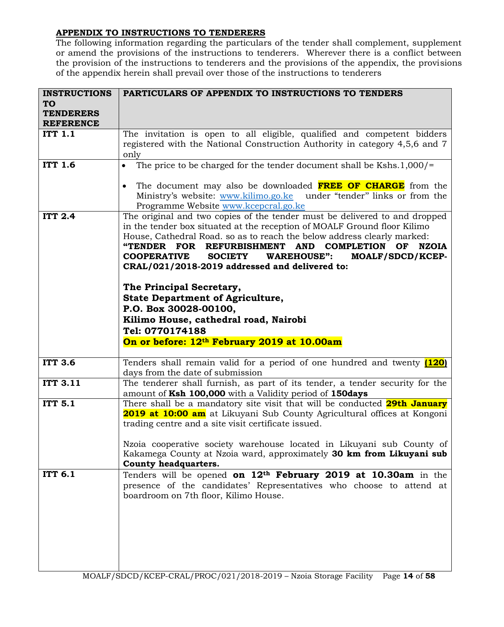# **APPENDIX TO INSTRUCTIONS TO TENDERERS**

The following information regarding the particulars of the tender shall complement, supplement or amend the provisions of the instructions to tenderers. Wherever there is a conflict between the provision of the instructions to tenderers and the provisions of the appendix, the provisions of the appendix herein shall prevail over those of the instructions to tenderers

| <b>INSTRUCTIONS</b> | PARTICULARS OF APPENDIX TO INSTRUCTIONS TO TENDERS                                 |  |  |
|---------------------|------------------------------------------------------------------------------------|--|--|
| <b>TO</b>           |                                                                                    |  |  |
| <b>TENDERERS</b>    |                                                                                    |  |  |
| <b>REFERENCE</b>    |                                                                                    |  |  |
| <b>ITT 1.1</b>      | The invitation is open to all eligible, qualified and competent bidders            |  |  |
|                     | registered with the National Construction Authority in category 4,5,6 and 7        |  |  |
|                     | only                                                                               |  |  |
|                     |                                                                                    |  |  |
| <b>ITT 1.6</b>      | The price to be charged for the tender document shall be Kshs.1,000/=<br>$\bullet$ |  |  |
|                     |                                                                                    |  |  |
|                     | The document may also be downloaded FREE OF CHARGE from the                        |  |  |
|                     | Ministry's website: www.kilimo.go.ke under "tender" links or from the              |  |  |
|                     | Programme Website www.kcepcral.go.ke                                               |  |  |
| <b>ITT 2.4</b>      | The original and two copies of the tender must be delivered to and dropped         |  |  |
|                     | in the tender box situated at the reception of MOALF Ground floor Kilimo           |  |  |
|                     | House, Cathedral Road. so as to reach the below address clearly marked:            |  |  |
|                     | "TENDER FOR REFURBISHMENT AND COMPLETION<br>OF<br><b>NZOIA</b>                     |  |  |
|                     | <b>COOPERATIVE</b><br><b>SOCIETY</b><br><b>WAREHOUSE":</b><br>MOALF/SDCD/KCEP-     |  |  |
|                     | CRAL/021/2018-2019 addressed and delivered to:                                     |  |  |
|                     |                                                                                    |  |  |
|                     | The Principal Secretary,                                                           |  |  |
|                     | <b>State Department of Agriculture,</b>                                            |  |  |
|                     |                                                                                    |  |  |
|                     | P.O. Box 30028-00100,                                                              |  |  |
|                     | Kilimo House, cathedral road, Nairobi                                              |  |  |
|                     | Tel: 0770174188                                                                    |  |  |
|                     | On or before: 12th February 2019 at 10.00am                                        |  |  |
|                     |                                                                                    |  |  |
| <b>ITT 3.6</b>      | Tenders shall remain valid for a period of one hundred and twenty (120)            |  |  |
|                     | days from the date of submission                                                   |  |  |
| <b>ITT 3.11</b>     | The tenderer shall furnish, as part of its tender, a tender security for the       |  |  |
|                     | amount of Ksh 100,000 with a Validity period of 150days                            |  |  |
| <b>ITT 5.1</b>      | There shall be a mandatory site visit that will be conducted <b>29th January</b>   |  |  |
|                     | 2019 at 10:00 am at Likuyani Sub County Agricultural offices at Kongoni            |  |  |
|                     | trading centre and a site visit certificate issued.                                |  |  |
|                     |                                                                                    |  |  |
|                     | Nzoia cooperative society warehouse located in Likuyani sub County of              |  |  |
|                     | Kakamega County at Nzoia ward, approximately 30 km from Likuyani sub               |  |  |
|                     |                                                                                    |  |  |
| $TTT$ 6.1           | <b>County headquarters.</b>                                                        |  |  |
|                     | Tenders will be opened on 12 <sup>th</sup> February 2019 at 10.30am in the         |  |  |
|                     | presence of the candidates' Representatives who choose to attend at                |  |  |
|                     | boardroom on 7th floor, Kilimo House.                                              |  |  |
|                     |                                                                                    |  |  |
|                     |                                                                                    |  |  |
|                     |                                                                                    |  |  |
|                     |                                                                                    |  |  |
|                     |                                                                                    |  |  |
|                     |                                                                                    |  |  |
|                     |                                                                                    |  |  |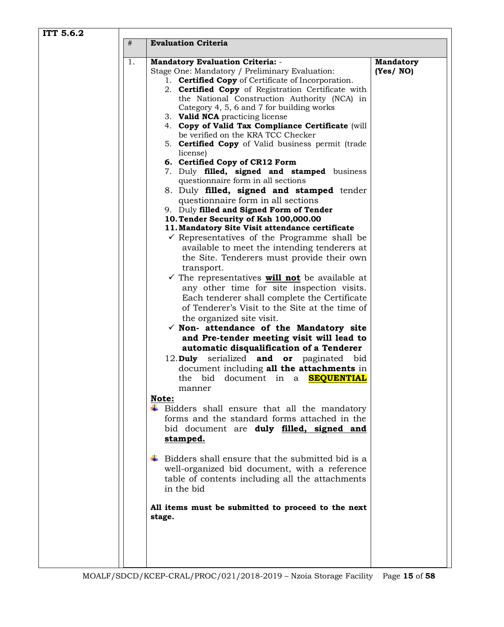| ITT 5.6.2 |
|-----------|
| $\#$      |
| 1.        |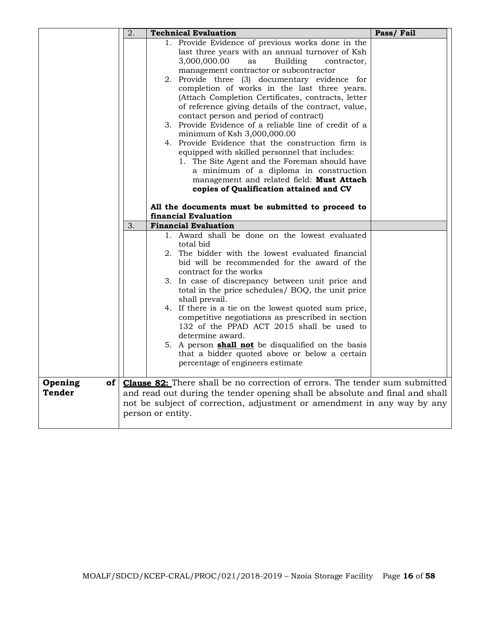|                                | $\overline{2}$ . | <b>Technical Evaluation</b>                                                                                                                                                                                                                                                                                                                                                                                                                                                                                                                                                                                                                                                                                                                                                                                                               | Pass/Fail |
|--------------------------------|------------------|-------------------------------------------------------------------------------------------------------------------------------------------------------------------------------------------------------------------------------------------------------------------------------------------------------------------------------------------------------------------------------------------------------------------------------------------------------------------------------------------------------------------------------------------------------------------------------------------------------------------------------------------------------------------------------------------------------------------------------------------------------------------------------------------------------------------------------------------|-----------|
|                                |                  | 1. Provide Evidence of previous works done in the<br>last three years with an annual turnover of Ksh<br>3,000,000.00<br>Building<br>as<br>contractor,<br>management contractor or subcontractor<br>2. Provide three (3) documentary evidence for<br>completion of works in the last three years.<br>(Attach Completion Certificates, contracts, letter<br>of reference giving details of the contract, value,<br>contact person and period of contract)<br>3. Provide Evidence of a reliable line of credit of a<br>minimum of Ksh 3,000,000.00<br>4. Provide Evidence that the construction firm is<br>equipped with skilled personnel that includes:<br>1. The Site Agent and the Foreman should have<br>a minimum of a diploma in construction<br>management and related field: Must Attach<br>copies of Qualification attained and CV |           |
|                                |                  | All the documents must be submitted to proceed to<br>financial Evaluation                                                                                                                                                                                                                                                                                                                                                                                                                                                                                                                                                                                                                                                                                                                                                                 |           |
|                                | 3.               | <b>Financial Evaluation</b>                                                                                                                                                                                                                                                                                                                                                                                                                                                                                                                                                                                                                                                                                                                                                                                                               |           |
|                                |                  | 1. Award shall be done on the lowest evaluated<br>total bid<br>2. The bidder with the lowest evaluated financial<br>bid will be recommended for the award of the<br>contract for the works<br>3. In case of discrepancy between unit price and<br>total in the price schedules/ BOQ, the unit price<br>shall prevail.<br>4. If there is a tie on the lowest quoted sum price,<br>competitive negotiations as prescribed in section<br>132 of the PPAD ACT 2015 shall be used to<br>determine award.<br>5. A person <b>shall not</b> be disqualified on the basis<br>that a bidder quoted above or below a certain<br>percentage of engineers estimate                                                                                                                                                                                     |           |
| Opening<br>of<br><b>Tender</b> |                  | <b>Clause 82:</b> There shall be no correction of errors. The tender sum submitted<br>and read out during the tender opening shall be absolute and final and shall<br>not be subject of correction, adjustment or amendment in any way by any<br>person or entity.                                                                                                                                                                                                                                                                                                                                                                                                                                                                                                                                                                        |           |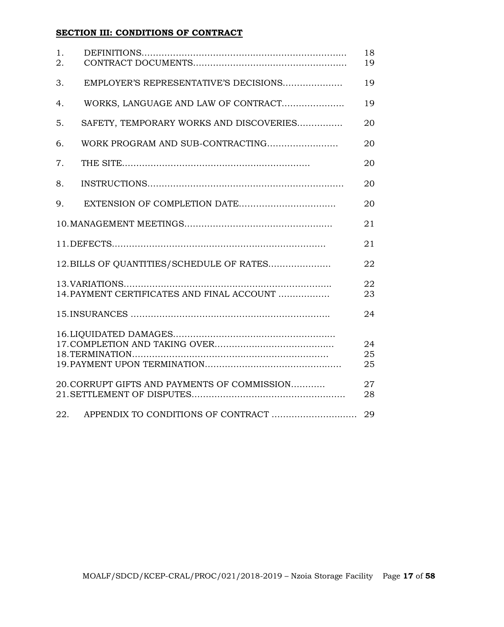# **SECTION III: CONDITIONS OF CONTRACT**

| 1.<br>2. |                                              | 18<br>19       |
|----------|----------------------------------------------|----------------|
| 3.       | EMPLOYER'S REPRESENTATIVE'S DECISIONS        | 19             |
| 4.       | WORKS, LANGUAGE AND LAW OF CONTRACT          | 19             |
| 5.       | SAFETY, TEMPORARY WORKS AND DISCOVERIES      | 20             |
| 6.       |                                              | 20             |
| 7.       |                                              | 20             |
| 8.       |                                              | 20             |
| 9.       |                                              | 20             |
|          |                                              | 21             |
|          |                                              | 21             |
|          | 12. BILLS OF QUANTITIES/SCHEDULE OF RATES    | 22             |
|          | 14. PAYMENT CERTIFICATES AND FINAL ACCOUNT   | 22<br>23       |
|          |                                              | 24             |
|          |                                              | 24<br>25<br>25 |
|          | 20. CORRUPT GIFTS AND PAYMENTS OF COMMISSION | 27<br>28       |
| 22.      | APPENDIX TO CONDITIONS OF CONTRACT           | 29             |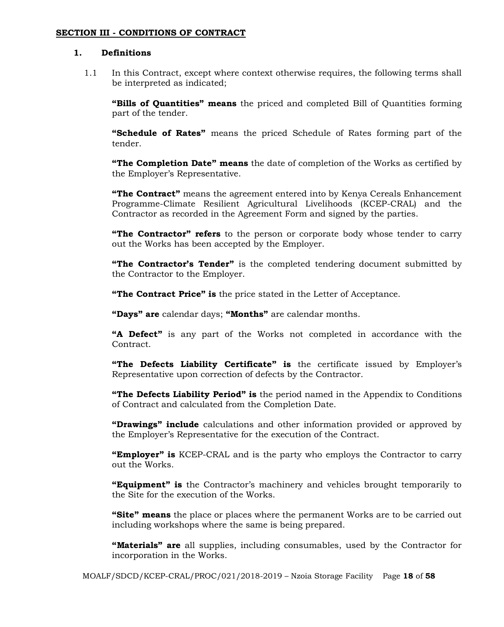#### **SECTION III - CONDITIONS OF CONTRACT**

#### **1. Definitions**

1.1 In this Contract, except where context otherwise requires, the following terms shall be interpreted as indicated;

**"Bills of Quantities" means** the priced and completed Bill of Quantities forming part of the tender.

**"Schedule of Rates"** means the priced Schedule of Rates forming part of the tender.

**"The Completion Date" means** the date of completion of the Works as certified by the Employer's Representative.

**"The Contract"** means the agreement entered into by Kenya Cereals Enhancement Programme-Climate Resilient Agricultural Livelihoods (KCEP-CRAL) and the Contractor as recorded in the Agreement Form and signed by the parties.

**"The Contractor" refers** to the person or corporate body whose tender to carry out the Works has been accepted by the Employer.

**"The Contractor's Tender"** is the completed tendering document submitted by the Contractor to the Employer.

**"The Contract Price" is** the price stated in the Letter of Acceptance.

**"Days" are** calendar days; **"Months"** are calendar months.

**"A Defect"** is any part of the Works not completed in accordance with the Contract.

**"The Defects Liability Certificate" is** the certificate issued by Employer's Representative upon correction of defects by the Contractor.

**"The Defects Liability Period" is** the period named in the Appendix to Conditions of Contract and calculated from the Completion Date.

**"Drawings" include** calculations and other information provided or approved by the Employer's Representative for the execution of the Contract.

**"Employer" is** KCEP-CRAL and is the party who employs the Contractor to carry out the Works.

**"Equipment" is** the Contractor's machinery and vehicles brought temporarily to the Site for the execution of the Works.

**"Site" means** the place or places where the permanent Works are to be carried out including workshops where the same is being prepared.

**"Materials" are** all supplies, including consumables, used by the Contractor for incorporation in the Works.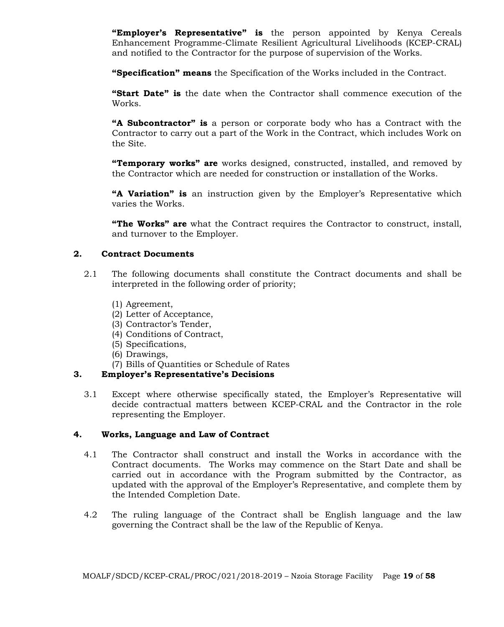**"Employer's Representative" is** the person appointed by Kenya Cereals Enhancement Programme-Climate Resilient Agricultural Livelihoods (KCEP-CRAL) and notified to the Contractor for the purpose of supervision of the Works.

**"Specification" means** the Specification of the Works included in the Contract.

**"Start Date" is** the date when the Contractor shall commence execution of the Works.

**"A Subcontractor" is** a person or corporate body who has a Contract with the Contractor to carry out a part of the Work in the Contract, which includes Work on the Site.

**"Temporary works" are** works designed, constructed, installed, and removed by the Contractor which are needed for construction or installation of the Works.

**"A Variation" is** an instruction given by the Employer's Representative which varies the Works.

**"The Works" are** what the Contract requires the Contractor to construct, install, and turnover to the Employer.

#### **2. Contract Documents**

- 2.1 The following documents shall constitute the Contract documents and shall be interpreted in the following order of priority;
	- (1) Agreement,
	- (2) Letter of Acceptance,
	- (3) Contractor's Tender,
	- (4) Conditions of Contract,
	- (5) Specifications,
	- (6) Drawings,
	- (7) Bills of Quantities or Schedule of Rates

#### **3. Employer's Representative's Decisions**

3.1 Except where otherwise specifically stated, the Employer's Representative will decide contractual matters between KCEP-CRAL and the Contractor in the role representing the Employer.

#### **4. Works, Language and Law of Contract**

- 4.1 The Contractor shall construct and install the Works in accordance with the Contract documents. The Works may commence on the Start Date and shall be carried out in accordance with the Program submitted by the Contractor, as updated with the approval of the Employer's Representative, and complete them by the Intended Completion Date.
- 4.2 The ruling language of the Contract shall be English language and the law governing the Contract shall be the law of the Republic of Kenya.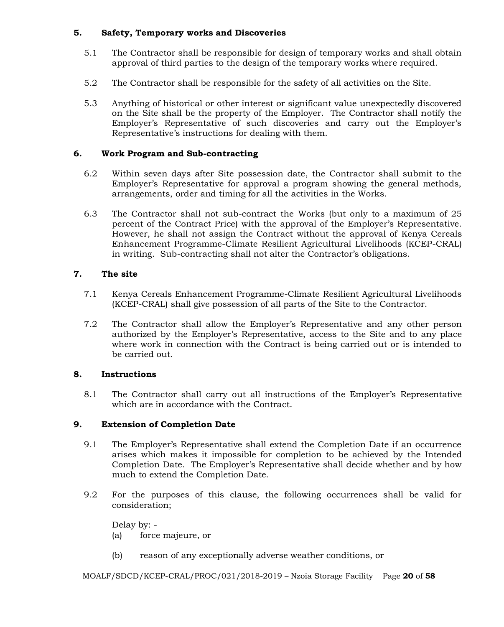# **5. Safety, Temporary works and Discoveries**

- 5.1 The Contractor shall be responsible for design of temporary works and shall obtain approval of third parties to the design of the temporary works where required.
- 5.2 The Contractor shall be responsible for the safety of all activities on the Site.
- 5.3 Anything of historical or other interest or significant value unexpectedly discovered on the Site shall be the property of the Employer. The Contractor shall notify the Employer's Representative of such discoveries and carry out the Employer's Representative's instructions for dealing with them.

# **6. Work Program and Sub-contracting**

- 6.2 Within seven days after Site possession date, the Contractor shall submit to the Employer's Representative for approval a program showing the general methods, arrangements, order and timing for all the activities in the Works.
- 6.3 The Contractor shall not sub-contract the Works (but only to a maximum of 25 percent of the Contract Price) with the approval of the Employer's Representative. However, he shall not assign the Contract without the approval of Kenya Cereals Enhancement Programme-Climate Resilient Agricultural Livelihoods (KCEP-CRAL) in writing. Sub-contracting shall not alter the Contractor's obligations.

# **7. The site**

- 7.1 Kenya Cereals Enhancement Programme-Climate Resilient Agricultural Livelihoods (KCEP-CRAL) shall give possession of all parts of the Site to the Contractor.
- 7.2 The Contractor shall allow the Employer's Representative and any other person authorized by the Employer's Representative, access to the Site and to any place where work in connection with the Contract is being carried out or is intended to be carried out.

# **8. Instructions**

8.1 The Contractor shall carry out all instructions of the Employer's Representative which are in accordance with the Contract.

# **9. Extension of Completion Date**

- 9.1 The Employer's Representative shall extend the Completion Date if an occurrence arises which makes it impossible for completion to be achieved by the Intended Completion Date. The Employer's Representative shall decide whether and by how much to extend the Completion Date.
- 9.2 For the purposes of this clause, the following occurrences shall be valid for consideration;

Delay by: - (a) force majeure, or

(b) reason of any exceptionally adverse weather conditions, or

MOALF/SDCD/KCEP-CRAL/PROC/021/2018-2019 – Nzoia Storage Facility Page **20** of **58**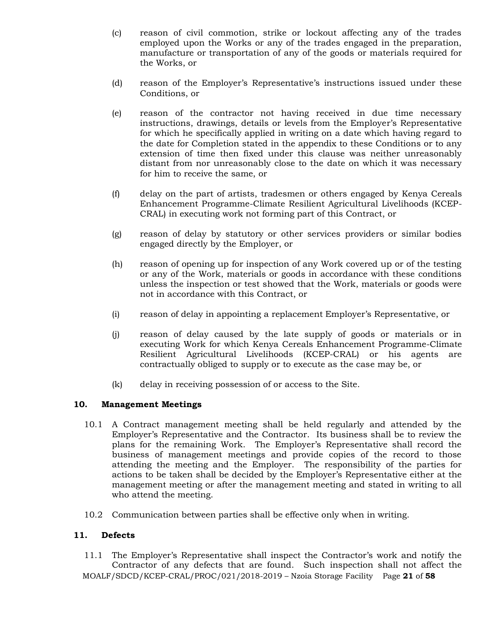- (c) reason of civil commotion, strike or lockout affecting any of the trades employed upon the Works or any of the trades engaged in the preparation, manufacture or transportation of any of the goods or materials required for the Works, or
- (d) reason of the Employer's Representative's instructions issued under these Conditions, or
- (e) reason of the contractor not having received in due time necessary instructions, drawings, details or levels from the Employer's Representative for which he specifically applied in writing on a date which having regard to the date for Completion stated in the appendix to these Conditions or to any extension of time then fixed under this clause was neither unreasonably distant from nor unreasonably close to the date on which it was necessary for him to receive the same, or
- (f) delay on the part of artists, tradesmen or others engaged by Kenya Cereals Enhancement Programme-Climate Resilient Agricultural Livelihoods (KCEP-CRAL) in executing work not forming part of this Contract, or
- (g) reason of delay by statutory or other services providers or similar bodies engaged directly by the Employer, or
- (h) reason of opening up for inspection of any Work covered up or of the testing or any of the Work, materials or goods in accordance with these conditions unless the inspection or test showed that the Work, materials or goods were not in accordance with this Contract, or
- (i) reason of delay in appointing a replacement Employer's Representative, or
- (j) reason of delay caused by the late supply of goods or materials or in executing Work for which Kenya Cereals Enhancement Programme-Climate Resilient Agricultural Livelihoods (KCEP-CRAL) or his agents are contractually obliged to supply or to execute as the case may be, or
- (k) delay in receiving possession of or access to the Site.

# **10. Management Meetings**

- 10.1 A Contract management meeting shall be held regularly and attended by the Employer's Representative and the Contractor. Its business shall be to review the plans for the remaining Work. The Employer's Representative shall record the business of management meetings and provide copies of the record to those attending the meeting and the Employer. The responsibility of the parties for actions to be taken shall be decided by the Employer's Representative either at the management meeting or after the management meeting and stated in writing to all who attend the meeting.
- 10.2 Communication between parties shall be effective only when in writing.

# **11. Defects**

MOALF/SDCD/KCEP-CRAL/PROC/021/2018-2019 – Nzoia Storage Facility Page **21** of **58** 11.1 The Employer's Representative shall inspect the Contractor's work and notify the Contractor of any defects that are found. Such inspection shall not affect the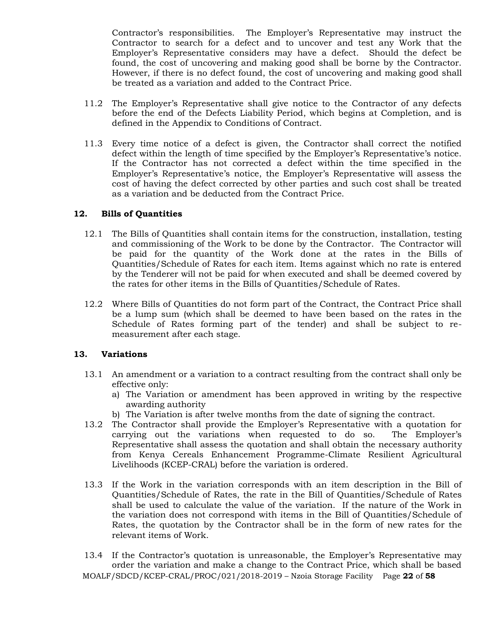Contractor's responsibilities. The Employer's Representative may instruct the Contractor to search for a defect and to uncover and test any Work that the Employer's Representative considers may have a defect. Should the defect be found, the cost of uncovering and making good shall be borne by the Contractor. However, if there is no defect found, the cost of uncovering and making good shall be treated as a variation and added to the Contract Price.

- 11.2 The Employer's Representative shall give notice to the Contractor of any defects before the end of the Defects Liability Period, which begins at Completion, and is defined in the Appendix to Conditions of Contract.
- 11.3 Every time notice of a defect is given, the Contractor shall correct the notified defect within the length of time specified by the Employer's Representative's notice. If the Contractor has not corrected a defect within the time specified in the Employer's Representative's notice, the Employer's Representative will assess the cost of having the defect corrected by other parties and such cost shall be treated as a variation and be deducted from the Contract Price.

#### **12. Bills of Quantities**

- 12.1 The Bills of Quantities shall contain items for the construction, installation, testing and commissioning of the Work to be done by the Contractor. The Contractor will be paid for the quantity of the Work done at the rates in the Bills of Quantities/Schedule of Rates for each item. Items against which no rate is entered by the Tenderer will not be paid for when executed and shall be deemed covered by the rates for other items in the Bills of Quantities/Schedule of Rates.
- 12.2 Where Bills of Quantities do not form part of the Contract, the Contract Price shall be a lump sum (which shall be deemed to have been based on the rates in the Schedule of Rates forming part of the tender) and shall be subject to remeasurement after each stage.

# **13. Variations**

- 13.1 An amendment or a variation to a contract resulting from the contract shall only be effective only:
	- a) The Variation or amendment has been approved in writing by the respective awarding authority
	- b) The Variation is after twelve months from the date of signing the contract.
- 13.2 The Contractor shall provide the Employer's Representative with a quotation for carrying out the variations when requested to do so. The Employer's Representative shall assess the quotation and shall obtain the necessary authority from Kenya Cereals Enhancement Programme-Climate Resilient Agricultural Livelihoods (KCEP-CRAL) before the variation is ordered.
- 13.3 If the Work in the variation corresponds with an item description in the Bill of Quantities/Schedule of Rates, the rate in the Bill of Quantities/Schedule of Rates shall be used to calculate the value of the variation. If the nature of the Work in the variation does not correspond with items in the Bill of Quantities/Schedule of Rates, the quotation by the Contractor shall be in the form of new rates for the relevant items of Work.
- MOALF/SDCD/KCEP-CRAL/PROC/021/2018-2019 Nzoia Storage Facility Page **22** of **58** 13.4 If the Contractor's quotation is unreasonable, the Employer's Representative may order the variation and make a change to the Contract Price, which shall be based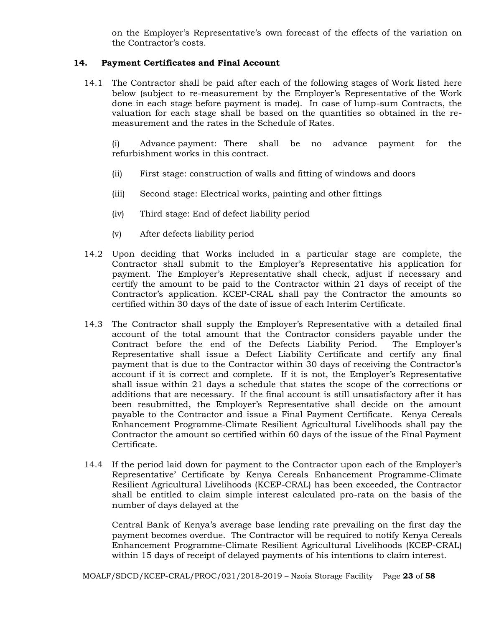on the Employer's Representative's own forecast of the effects of the variation on the Contractor's costs.

#### **14. Payment Certificates and Final Account**

14.1 The Contractor shall be paid after each of the following stages of Work listed here below (subject to re-measurement by the Employer's Representative of the Work done in each stage before payment is made). In case of lump-sum Contracts, the valuation for each stage shall be based on the quantities so obtained in the remeasurement and the rates in the Schedule of Rates.

(i) Advance payment: There shall be no advance payment for the refurbishment works in this contract.

- (ii) First stage: construction of walls and fitting of windows and doors
- (iii) Second stage: Electrical works, painting and other fittings
- (iv) Third stage: End of defect liability period
- (v) After defects liability period
- 14.2 Upon deciding that Works included in a particular stage are complete, the Contractor shall submit to the Employer's Representative his application for payment. The Employer's Representative shall check, adjust if necessary and certify the amount to be paid to the Contractor within 21 days of receipt of the Contractor's application. KCEP-CRAL shall pay the Contractor the amounts so certified within 30 days of the date of issue of each Interim Certificate.
- 14.3 The Contractor shall supply the Employer's Representative with a detailed final account of the total amount that the Contractor considers payable under the Contract before the end of the Defects Liability Period. The Employer's Representative shall issue a Defect Liability Certificate and certify any final payment that is due to the Contractor within 30 days of receiving the Contractor's account if it is correct and complete. If it is not, the Employer's Representative shall issue within 21 days a schedule that states the scope of the corrections or additions that are necessary. If the final account is still unsatisfactory after it has been resubmitted, the Employer's Representative shall decide on the amount payable to the Contractor and issue a Final Payment Certificate. Kenya Cereals Enhancement Programme-Climate Resilient Agricultural Livelihoods shall pay the Contractor the amount so certified within 60 days of the issue of the Final Payment Certificate.
- 14.4 If the period laid down for payment to the Contractor upon each of the Employer's Representative' Certificate by Kenya Cereals Enhancement Programme-Climate Resilient Agricultural Livelihoods (KCEP-CRAL) has been exceeded, the Contractor shall be entitled to claim simple interest calculated pro-rata on the basis of the number of days delayed at the

Central Bank of Kenya's average base lending rate prevailing on the first day the payment becomes overdue. The Contractor will be required to notify Kenya Cereals Enhancement Programme-Climate Resilient Agricultural Livelihoods (KCEP-CRAL) within 15 days of receipt of delayed payments of his intentions to claim interest.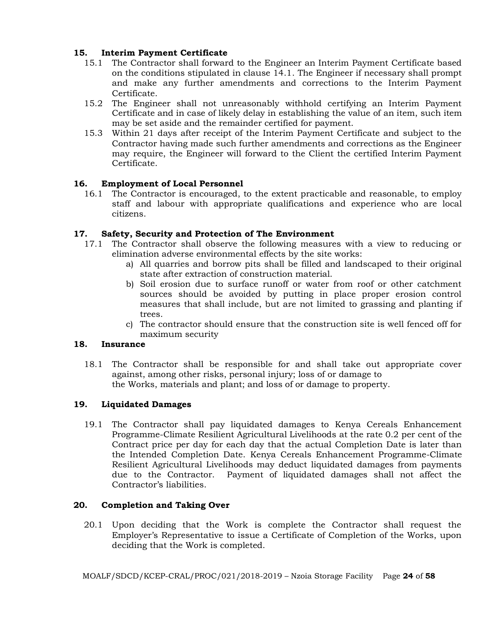# **15. Interim Payment Certificate**

- 15.1 The Contractor shall forward to the Engineer an Interim Payment Certificate based on the conditions stipulated in clause 14.1. The Engineer if necessary shall prompt and make any further amendments and corrections to the Interim Payment Certificate.
- 15.2 The Engineer shall not unreasonably withhold certifying an Interim Payment Certificate and in case of likely delay in establishing the value of an item, such item may be set aside and the remainder certified for payment.
- 15.3 Within 21 days after receipt of the Interim Payment Certificate and subject to the Contractor having made such further amendments and corrections as the Engineer may require, the Engineer will forward to the Client the certified Interim Payment Certificate.

# **16. Employment of Local Personnel**

16.1 The Contractor is encouraged, to the extent practicable and reasonable, to employ staff and labour with appropriate qualifications and experience who are local citizens.

# **17. Safety, Security and Protection of The Environment**

- 17.1 The Contractor shall observe the following measures with a view to reducing or elimination adverse environmental effects by the site works:
	- a) All quarries and borrow pits shall be filled and landscaped to their original state after extraction of construction material.
	- b) Soil erosion due to surface runoff or water from roof or other catchment sources should be avoided by putting in place proper erosion control measures that shall include, but are not limited to grassing and planting if trees.
	- c) The contractor should ensure that the construction site is well fenced off for maximum security

# **18. Insurance**

18.1 The Contractor shall be responsible for and shall take out appropriate cover against, among other risks, personal injury; loss of or damage to the Works, materials and plant; and loss of or damage to property.

# **19. Liquidated Damages**

19.1 The Contractor shall pay liquidated damages to Kenya Cereals Enhancement Programme-Climate Resilient Agricultural Livelihoods at the rate 0.2 per cent of the Contract price per day for each day that the actual Completion Date is later than the Intended Completion Date. Kenya Cereals Enhancement Programme-Climate Resilient Agricultural Livelihoods may deduct liquidated damages from payments due to the Contractor. Payment of liquidated damages shall not affect the Contractor's liabilities.

# **20. Completion and Taking Over**

20.1 Upon deciding that the Work is complete the Contractor shall request the Employer's Representative to issue a Certificate of Completion of the Works, upon deciding that the Work is completed.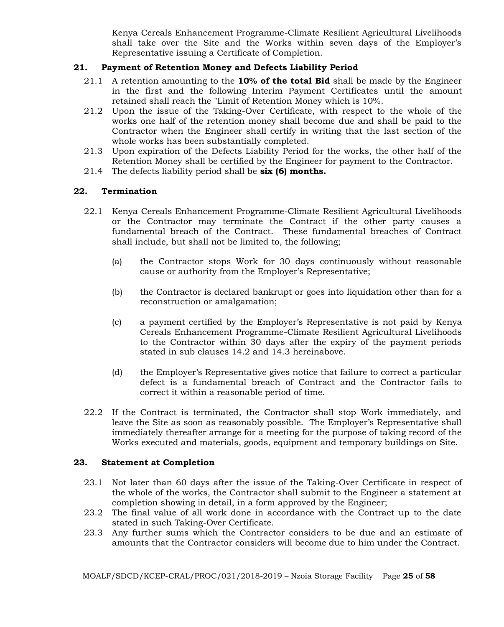Kenya Cereals Enhancement Programme-Climate Resilient Agricultural Livelihoods shall take over the Site and the Works within seven days of the Employer's Representative issuing a Certificate of Completion.

# **21. Payment of Retention Money and Defects Liability Period**

- 21.1 A retention amounting to the **10% of the total Bid** shall be made by the Engineer in the first and the following Interim Payment Certificates until the amount retained shall reach the "Limit of Retention Money which is 10%.
- 21.2 Upon the issue of the Taking-Over Certificate, with respect to the whole of the works one half of the retention money shall become due and shall be paid to the Contractor when the Engineer shall certify in writing that the last section of the whole works has been substantially completed.
- 21.3 Upon expiration of the Defects Liability Period for the works, the other half of the Retention Money shall be certified by the Engineer for payment to the Contractor.
- 21.4 The defects liability period shall be **six (6) months.**

# **22. Termination**

- 22.1 Kenya Cereals Enhancement Programme-Climate Resilient Agricultural Livelihoods or the Contractor may terminate the Contract if the other party causes a fundamental breach of the Contract. These fundamental breaches of Contract shall include, but shall not be limited to, the following;
	- (a) the Contractor stops Work for 30 days continuously without reasonable cause or authority from the Employer's Representative;
	- (b) the Contractor is declared bankrupt or goes into liquidation other than for a reconstruction or amalgamation;
	- (c) a payment certified by the Employer's Representative is not paid by Kenya Cereals Enhancement Programme-Climate Resilient Agricultural Livelihoods to the Contractor within 30 days after the expiry of the payment periods stated in sub clauses 14.2 and 14.3 hereinabove.
	- (d) the Employer's Representative gives notice that failure to correct a particular defect is a fundamental breach of Contract and the Contractor fails to correct it within a reasonable period of time.
- 22.2 If the Contract is terminated, the Contractor shall stop Work immediately, and leave the Site as soon as reasonably possible. The Employer's Representative shall immediately thereafter arrange for a meeting for the purpose of taking record of the Works executed and materials, goods, equipment and temporary buildings on Site.

# **23. Statement at Completion**

- 23.1 Not later than 60 days after the issue of the Taking-Over Certificate in respect of the whole of the works, the Contractor shall submit to the Engineer a statement at completion showing in detail, in a form approved by the Engineer;
- 23.2 The final value of all work done in accordance with the Contract up to the date stated in such Taking-Over Certificate.
- 23.3 Any further sums which the Contractor considers to be due and an estimate of amounts that the Contractor considers will become due to him under the Contract.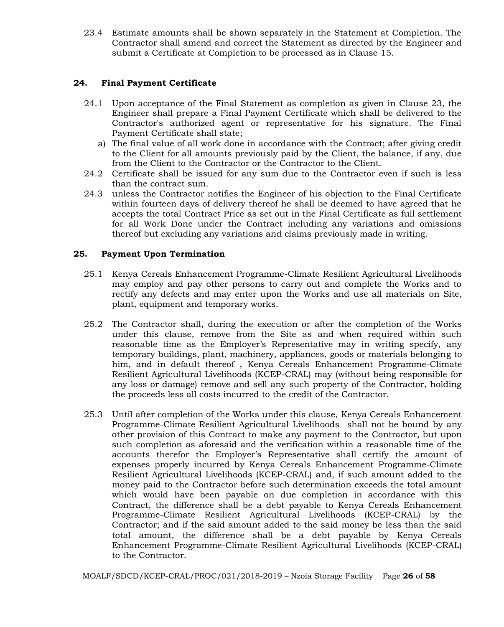23.4 Estimate amounts shall be shown separately in the Statement at Completion. The Contractor shall amend and correct the Statement as directed by the Engineer and submit a Certificate at Completion to be processed as in Clause 15.

# **24. Final Payment Certificate**

- 24.1 Upon acceptance of the Final Statement as completion as given in Clause 23, the Engineer shall prepare a Final Payment Certificate which shall be delivered to the Contractor's authorized agent or representative for his signature. The Final Payment Certificate shall state;
	- a) The final value of all work done in accordance with the Contract; after giving credit to the Client for all amounts previously paid by the Client, the balance, if any, due from the Client to the Contractor or the Contractor to the Client.
- 24.2 Certificate shall be issued for any sum due to the Contractor even if such is less than the contract sum.
- 24.3 unless the Contractor notifies the Engineer of his objection to the Final Certificate within fourteen days of delivery thereof he shall be deemed to have agreed that he accepts the total Contract Price as set out in the Final Certificate as full settlement for all Work Done under the Contract including any variations and omissions thereof but excluding any variations and claims previously made in writing.

# **25. Payment Upon Termination**

- 25.1 Kenya Cereals Enhancement Programme-Climate Resilient Agricultural Livelihoods may employ and pay other persons to carry out and complete the Works and to rectify any defects and may enter upon the Works and use all materials on Site, plant, equipment and temporary works.
- 25.2 The Contractor shall, during the execution or after the completion of the Works under this clause, remove from the Site as and when required within such reasonable time as the Employer's Representative may in writing specify, any temporary buildings, plant, machinery, appliances, goods or materials belonging to him, and in default thereof , Kenya Cereals Enhancement Programme-Climate Resilient Agricultural Livelihoods (KCEP-CRAL) may (without being responsible for any loss or damage) remove and sell any such property of the Contractor, holding the proceeds less all costs incurred to the credit of the Contractor.
- 25.3 Until after completion of the Works under this clause, Kenya Cereals Enhancement Programme-Climate Resilient Agricultural Livelihoods shall not be bound by any other provision of this Contract to make any payment to the Contractor, but upon such completion as aforesaid and the verification within a reasonable time of the accounts therefor the Employer's Representative shall certify the amount of expenses properly incurred by Kenya Cereals Enhancement Programme-Climate Resilient Agricultural Livelihoods (KCEP-CRAL) and, if such amount added to the money paid to the Contractor before such determination exceeds the total amount which would have been payable on due completion in accordance with this Contract, the difference shall be a debt payable to Kenya Cereals Enhancement Programme-Climate Resilient Agricultural Livelihoods (KCEP-CRAL) by the Contractor; and if the said amount added to the said money be less than the said total amount, the difference shall be a debt payable by Kenya Cereals Enhancement Programme-Climate Resilient Agricultural Livelihoods (KCEP-CRAL) to the Contractor.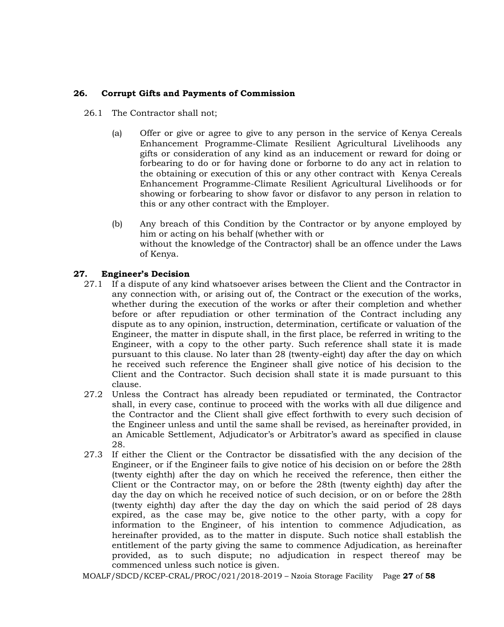# **26. Corrupt Gifts and Payments of Commission**

- 26.1 The Contractor shall not;
	- (a) Offer or give or agree to give to any person in the service of Kenya Cereals Enhancement Programme-Climate Resilient Agricultural Livelihoods any gifts or consideration of any kind as an inducement or reward for doing or forbearing to do or for having done or forborne to do any act in relation to the obtaining or execution of this or any other contract with Kenya Cereals Enhancement Programme-Climate Resilient Agricultural Livelihoods or for showing or forbearing to show favor or disfavor to any person in relation to this or any other contract with the Employer.
	- (b) Any breach of this Condition by the Contractor or by anyone employed by him or acting on his behalf (whether with or without the knowledge of the Contractor) shall be an offence under the Laws of Kenya.

# **27. Engineer's Decision**

- 27.1 If a dispute of any kind whatsoever arises between the Client and the Contractor in any connection with, or arising out of, the Contract or the execution of the works, whether during the execution of the works or after their completion and whether before or after repudiation or other termination of the Contract including any dispute as to any opinion, instruction, determination, certificate or valuation of the Engineer, the matter in dispute shall, in the first place, be referred in writing to the Engineer, with a copy to the other party. Such reference shall state it is made pursuant to this clause. No later than 28 (twenty-eight) day after the day on which he received such reference the Engineer shall give notice of his decision to the Client and the Contractor. Such decision shall state it is made pursuant to this clause.
- 27.2 Unless the Contract has already been repudiated or terminated, the Contractor shall, in every case, continue to proceed with the works with all due diligence and the Contractor and the Client shall give effect forthwith to every such decision of the Engineer unless and until the same shall be revised, as hereinafter provided, in an Amicable Settlement, Adjudicator's or Arbitrator's award as specified in clause 28.
- 27.3 If either the Client or the Contractor be dissatisfied with the any decision of the Engineer, or if the Engineer fails to give notice of his decision on or before the 28th (twenty eighth) after the day on which he received the reference, then either the Client or the Contractor may, on or before the 28th (twenty eighth) day after the day the day on which he received notice of such decision, or on or before the 28th (twenty eighth) day after the day the day on which the said period of 28 days expired, as the case may be, give notice to the other party, with a copy for information to the Engineer, of his intention to commence Adjudication, as hereinafter provided, as to the matter in dispute. Such notice shall establish the entitlement of the party giving the same to commence Adjudication, as hereinafter provided, as to such dispute; no adjudication in respect thereof may be commenced unless such notice is given.

MOALF/SDCD/KCEP-CRAL/PROC/021/2018-2019 – Nzoia Storage Facility Page **27** of **58**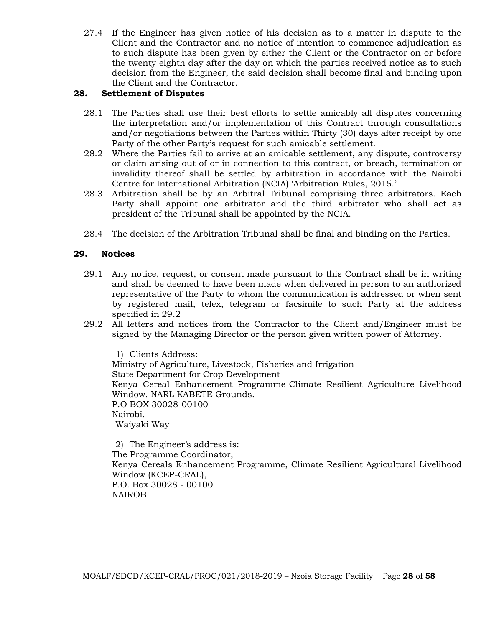27.4 If the Engineer has given notice of his decision as to a matter in dispute to the Client and the Contractor and no notice of intention to commence adjudication as to such dispute has been given by either the Client or the Contractor on or before the twenty eighth day after the day on which the parties received notice as to such decision from the Engineer, the said decision shall become final and binding upon the Client and the Contractor.

# **28. Settlement of Disputes**

- 28.1 The Parties shall use their best efforts to settle amicably all disputes concerning the interpretation and/or implementation of this Contract through consultations and/or negotiations between the Parties within Thirty (30) days after receipt by one Party of the other Party's request for such amicable settlement.
- 28.2 Where the Parties fail to arrive at an amicable settlement, any dispute, controversy or claim arising out of or in connection to this contract, or breach, termination or invalidity thereof shall be settled by arbitration in accordance with the Nairobi Centre for International Arbitration (NCIA) 'Arbitration Rules, 2015.'
- 28.3 Arbitration shall be by an Arbitral Tribunal comprising three arbitrators. Each Party shall appoint one arbitrator and the third arbitrator who shall act as president of the Tribunal shall be appointed by the NCIA.
- 28.4 The decision of the Arbitration Tribunal shall be final and binding on the Parties.

# **29. Notices**

- 29.1 Any notice, request, or consent made pursuant to this Contract shall be in writing and shall be deemed to have been made when delivered in person to an authorized representative of the Party to whom the communication is addressed or when sent by registered mail, telex, telegram or facsimile to such Party at the address specified in 29.2
- 29.2 All letters and notices from the Contractor to the Client and/Engineer must be signed by the Managing Director or the person given written power of Attorney.

1) Clients Address: Ministry of Agriculture, Livestock, Fisheries and Irrigation State Department for Crop Development Kenya Cereal Enhancement Programme-Climate Resilient Agriculture Livelihood Window, NARL KABETE Grounds. P.O BOX 30028-00100 Nairobi. Waiyaki Way

2) The Engineer's address is: The Programme Coordinator, Kenya Cereals Enhancement Programme, Climate Resilient Agricultural Livelihood Window (KCEP-CRAL), P.O. Box 30028 - 00100 NAIROBI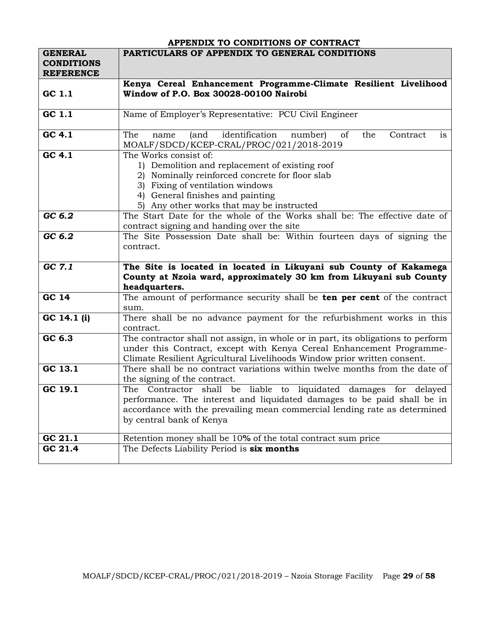| APPENDIX TO CONDITIONS OF CONTRACT                      |                                                                                                                                                                                                                                                      |  |  |
|---------------------------------------------------------|------------------------------------------------------------------------------------------------------------------------------------------------------------------------------------------------------------------------------------------------------|--|--|
| <b>GENERAL</b><br><b>CONDITIONS</b><br><b>REFERENCE</b> | PARTICULARS OF APPENDIX TO GENERAL CONDITIONS                                                                                                                                                                                                        |  |  |
| GC 1.1                                                  | Kenya Cereal Enhancement Programme-Climate Resilient Livelihood<br>Window of P.O. Box 30028-00100 Nairobi                                                                                                                                            |  |  |
| GC 1.1                                                  | Name of Employer's Representative: PCU Civil Engineer                                                                                                                                                                                                |  |  |
| GC 4.1                                                  | The<br>identification<br>of<br>the<br>is<br>(and<br>number)<br>Contract<br>name<br>MOALF/SDCD/KCEP-CRAL/PROC/021/2018-2019                                                                                                                           |  |  |
| GC 4.1                                                  | The Works consist of:<br>1) Demolition and replacement of existing roof<br>2) Nominally reinforced concrete for floor slab<br>3) Fixing of ventilation windows<br>4) General finishes and painting<br>5) Any other works that may be instructed      |  |  |
| GC 6.2                                                  | The Start Date for the whole of the Works shall be: The effective date of<br>contract signing and handing over the site                                                                                                                              |  |  |
| GC 6.2                                                  | The Site Possession Date shall be: Within fourteen days of signing the<br>contract.                                                                                                                                                                  |  |  |
| GC 7.1                                                  | The Site is located in located in Likuyani sub County of Kakamega<br>County at Nzoia ward, approximately 30 km from Likuyani sub County<br>headquarters.                                                                                             |  |  |
| $GC$ 14                                                 | The amount of performance security shall be <b>ten per cent</b> of the contract<br>sum.                                                                                                                                                              |  |  |
| GC 14.1 (i)                                             | There shall be no advance payment for the refurbishment works in this<br>contract.                                                                                                                                                                   |  |  |
| GC 6.3                                                  | The contractor shall not assign, in whole or in part, its obligations to perform<br>under this Contract, except with Kenya Cereal Enhancement Programme-<br>Climate Resilient Agricultural Livelihoods Window prior written consent.                 |  |  |
| GC 13.1                                                 | There shall be no contract variations within twelve months from the date of<br>the signing of the contract.                                                                                                                                          |  |  |
| GC 19.1                                                 | The Contractor shall be liable to liquidated damages for delayed<br>performance. The interest and liquidated damages to be paid shall be in<br>accordance with the prevailing mean commercial lending rate as determined<br>by central bank of Kenya |  |  |
| GC 21.1                                                 | Retention money shall be 10% of the total contract sum price                                                                                                                                                                                         |  |  |
| GC 21.4                                                 | The Defects Liability Period is six months                                                                                                                                                                                                           |  |  |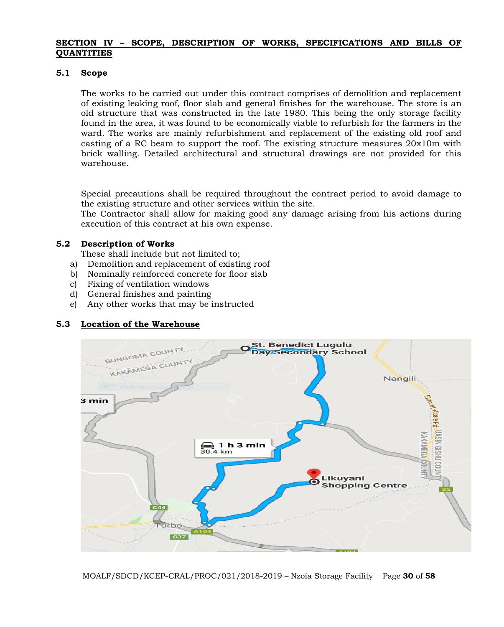#### **SECTION IV – SCOPE, DESCRIPTION OF WORKS, SPECIFICATIONS AND BILLS OF QUANTITIES**

#### **5.1 Scope**

The works to be carried out under this contract comprises of demolition and replacement of existing leaking roof, floor slab and general finishes for the warehouse. The store is an old structure that was constructed in the late 1980. This being the only storage facility found in the area, it was found to be economically viable to refurbish for the farmers in the ward. The works are mainly refurbishment and replacement of the existing old roof and casting of a RC beam to support the roof. The existing structure measures 20x10m with brick walling. Detailed architectural and structural drawings are not provided for this warehouse.

Special precautions shall be required throughout the contract period to avoid damage to the existing structure and other services within the site.

The Contractor shall allow for making good any damage arising from his actions during execution of this contract at his own expense.

# **5.2 Description of Works**

These shall include but not limited to;

- a) Demolition and replacement of existing roof
- b) Nominally reinforced concrete for floor slab
- c) Fixing of ventilation windows
- d) General finishes and painting
- e) Any other works that may be instructed

# **5.3 Location of the Warehouse**

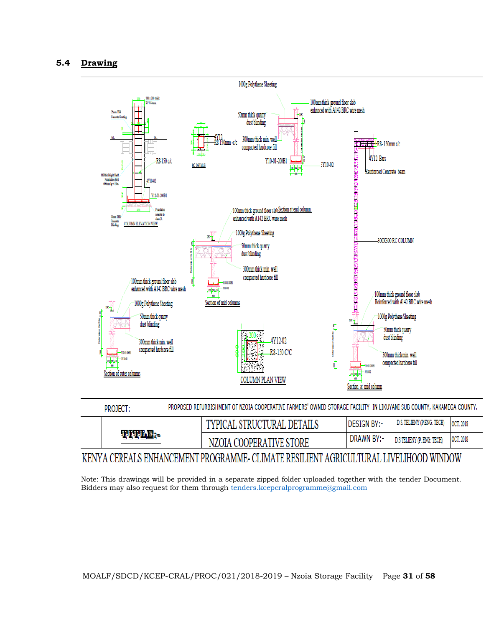#### **5.4 Drawing**



| PROJECT: | PROPOSED REFURBISHMENT OF NZOIA COOPERATIVE FARMERS' OWNED STORAGE FACILITY IN LIKUYANI SUB COUNTY, KAKAMEGA COUNTY, |  |  |  |
|----------|----------------------------------------------------------------------------------------------------------------------|--|--|--|
|----------|----------------------------------------------------------------------------------------------------------------------|--|--|--|

|  | L STRUCTURAL DETAILS<br>'YPICAL | Design By:-       | D.S. TELIENY (P.ENG. TECH) | OCT. 2018 |
|--|---------------------------------|-------------------|----------------------------|-----------|
|  | NZOIA COOPERATIVE STORE         | <b>DRAWN BY:-</b> | D.S TELIENY (P. ENG. TECH) | OCT. 2018 |
|  |                                 |                   |                            |           |

# KENYA CEREALS ENHANCEMENT PROGRAMME- CLIMATE RESILIENT AGRICULTURAL LIVELIHOOD WINDOW

Note: This drawings will be provided in a separate zipped folder uploaded together with the tender Document. Bidders may also request for them through [tenders.kcepcralprogramme@gmail.com](mailto:tenders.kcepcralprogramme@gmail.com)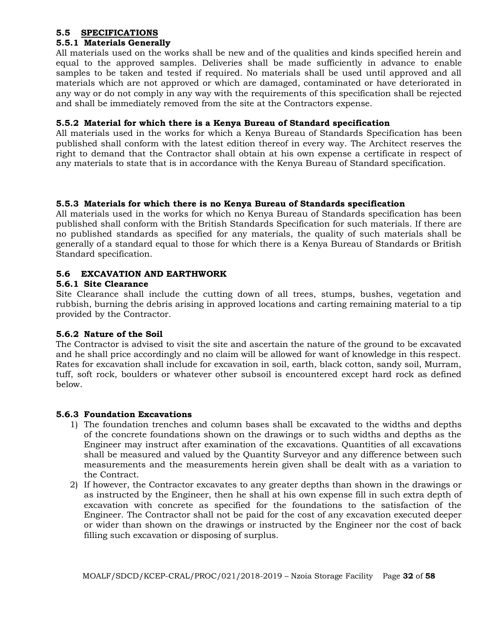#### **5.5 SPECIFICATIONS**

# **5.5.1 Materials Generally**

All materials used on the works shall be new and of the qualities and kinds specified herein and equal to the approved samples. Deliveries shall be made sufficiently in advance to enable samples to be taken and tested if required. No materials shall be used until approved and all materials which are not approved or which are damaged, contaminated or have deteriorated in any way or do not comply in any way with the requirements of this specification shall be rejected and shall be immediately removed from the site at the Contractors expense.

#### **5.5.2 Material for which there is a Kenya Bureau of Standard specification**

All materials used in the works for which a Kenya Bureau of Standards Specification has been published shall conform with the latest edition thereof in every way. The Architect reserves the right to demand that the Contractor shall obtain at his own expense a certificate in respect of any materials to state that is in accordance with the Kenya Bureau of Standard specification.

# **5.5.3 Materials for which there is no Kenya Bureau of Standards specification**

All materials used in the works for which no Kenya Bureau of Standards specification has been published shall conform with the British Standards Specification for such materials. If there are no published standards as specified for any materials, the quality of such materials shall be generally of a standard equal to those for which there is a Kenya Bureau of Standards or British Standard specification.

# **5.6 EXCAVATION AND EARTHWORK**

#### **5.6.1 Site Clearance**

Site Clearance shall include the cutting down of all trees, stumps, bushes, vegetation and rubbish, burning the debris arising in approved locations and carting remaining material to a tip provided by the Contractor.

# **5.6.2 Nature of the Soil**

The Contractor is advised to visit the site and ascertain the nature of the ground to be excavated and he shall price accordingly and no claim will be allowed for want of knowledge in this respect. Rates for excavation shall include for excavation in soil, earth, black cotton, sandy soil, Murram, tuff, soft rock, boulders or whatever other subsoil is encountered except hard rock as defined below.

#### **5.6.3 Foundation Excavations**

- 1) The foundation trenches and column bases shall be excavated to the widths and depths of the concrete foundations shown on the drawings or to such widths and depths as the Engineer may instruct after examination of the excavations. Quantities of all excavations shall be measured and valued by the Quantity Surveyor and any difference between such measurements and the measurements herein given shall be dealt with as a variation to the Contract.
- 2) If however, the Contractor excavates to any greater depths than shown in the drawings or as instructed by the Engineer, then he shall at his own expense fill in such extra depth of excavation with concrete as specified for the foundations to the satisfaction of the Engineer. The Contractor shall not be paid for the cost of any excavation executed deeper or wider than shown on the drawings or instructed by the Engineer nor the cost of back filling such excavation or disposing of surplus.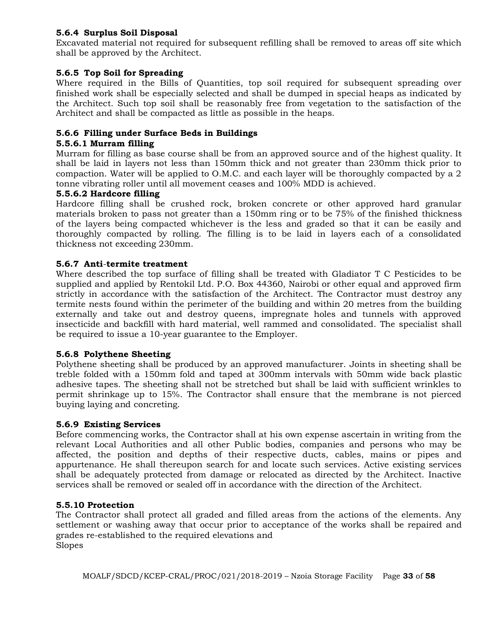# **5.6.4 Surplus Soil Disposal**

Excavated material not required for subsequent refilling shall be removed to areas off site which shall be approved by the Architect.

# **5.6.5 Top Soil for Spreading**

Where required in the Bills of Quantities, top soil required for subsequent spreading over finished work shall be especially selected and shall be dumped in special heaps as indicated by the Architect. Such top soil shall be reasonably free from vegetation to the satisfaction of the Architect and shall be compacted as little as possible in the heaps.

# **5.6.6 Filling under Surface Beds in Buildings**

#### **5.5.6.1 Murram filling**

Murram for filling as base course shall be from an approved source and of the highest quality. It shall be laid in layers not less than 150mm thick and not greater than 230mm thick prior to compaction. Water will be applied to O.M.C. and each layer will be thoroughly compacted by a 2 tonne vibrating roller until all movement ceases and 100% MDD is achieved.

# **5.5.6.2 Hardcore filling**

Hardcore filling shall be crushed rock, broken concrete or other approved hard granular materials broken to pass not greater than a 150mm ring or to be 75% of the finished thickness of the layers being compacted whichever is the less and graded so that it can be easily and thoroughly compacted by rolling. The filling is to be laid in layers each of a consolidated thickness not exceeding 230mm.

# **5.6.7 Anti**-**termite treatment**

Where described the top surface of filling shall be treated with Gladiator T C Pesticides to be supplied and applied by Rentokil Ltd. P.O. Box 44360, Nairobi or other equal and approved firm strictly in accordance with the satisfaction of the Architect. The Contractor must destroy any termite nests found within the perimeter of the building and within 20 metres from the building externally and take out and destroy queens, impregnate holes and tunnels with approved insecticide and backfill with hard material, well rammed and consolidated. The specialist shall be required to issue a 10-year guarantee to the Employer.

# **5.6.8 Polythene Sheeting**

Polythene sheeting shall be produced by an approved manufacturer. Joints in sheeting shall be treble folded with a 150mm fold and taped at 300mm intervals with 50mm wide back plastic adhesive tapes. The sheeting shall not be stretched but shall be laid with sufficient wrinkles to permit shrinkage up to 15%. The Contractor shall ensure that the membrane is not pierced buying laying and concreting.

# **5.6.9 Existing Services**

Before commencing works, the Contractor shall at his own expense ascertain in writing from the relevant Local Authorities and all other Public bodies, companies and persons who may be affected, the position and depths of their respective ducts, cables, mains or pipes and appurtenance. He shall thereupon search for and locate such services. Active existing services shall be adequately protected from damage or relocated as directed by the Architect. Inactive services shall be removed or sealed off in accordance with the direction of the Architect.

# **5.5.10 Protection**

The Contractor shall protect all graded and filled areas from the actions of the elements. Any settlement or washing away that occur prior to acceptance of the works shall be repaired and grades re-established to the required elevations and Slopes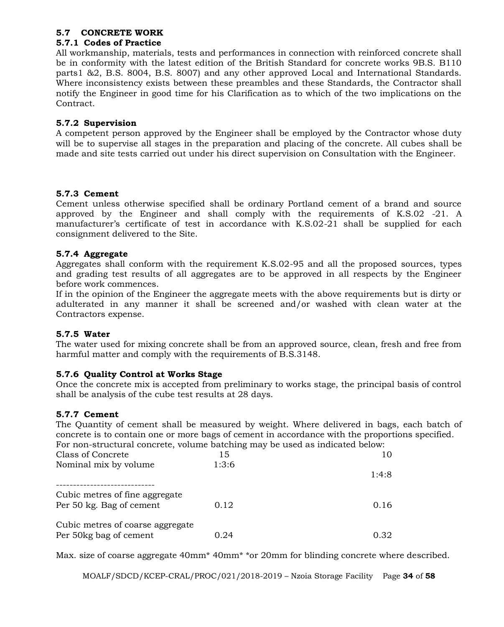# **5.7 CONCRETE WORK**

# **5.7.1 Codes of Practice**

All workmanship, materials, tests and performances in connection with reinforced concrete shall be in conformity with the latest edition of the British Standard for concrete works 9B.S. B110 parts1 &2, B.S. 8004, B.S. 8007) and any other approved Local and International Standards. Where inconsistency exists between these preambles and these Standards, the Contractor shall notify the Engineer in good time for his Clarification as to which of the two implications on the Contract.

# **5.7.2 Supervision**

A competent person approved by the Engineer shall be employed by the Contractor whose duty will be to supervise all stages in the preparation and placing of the concrete. All cubes shall be made and site tests carried out under his direct supervision on Consultation with the Engineer.

# **5.7.3 Cement**

Cement unless otherwise specified shall be ordinary Portland cement of a brand and source approved by the Engineer and shall comply with the requirements of K.S.02 -21. A manufacturer's certificate of test in accordance with K.S.02-21 shall be supplied for each consignment delivered to the Site.

# **5.7.4 Aggregate**

Aggregates shall conform with the requirement K.S.02-95 and all the proposed sources, types and grading test results of all aggregates are to be approved in all respects by the Engineer before work commences.

If in the opinion of the Engineer the aggregate meets with the above requirements but is dirty or adulterated in any manner it shall be screened and/or washed with clean water at the Contractors expense.

# **5.7.5 Water**

The water used for mixing concrete shall be from an approved source, clean, fresh and free from harmful matter and comply with the requirements of B.S.3148.

# **5.7.6 Quality Control at Works Stage**

Once the concrete mix is accepted from preliminary to works stage, the principal basis of control shall be analysis of the cube test results at 28 days.

# **5.7.7 Cement**

The Quantity of cement shall be measured by weight. Where delivered in bags, each batch of concrete is to contain one or more bags of cement in accordance with the proportions specified. For non-structural concrete, volume batching may be used as indicated below:

| For non-structural concrete, volume batching may be used as indicated below. |       |       |
|------------------------------------------------------------------------------|-------|-------|
| Class of Concrete                                                            | 15    | 10    |
| Nominal mix by volume                                                        | 1:3:6 |       |
|                                                                              |       | 1:4:8 |
| Cubic metres of fine aggregate<br>Per 50 kg. Bag of cement                   | 0.12  | 0.16  |
| Cubic metres of coarse aggregate<br>Per 50kg bag of cement                   | 0.24  | 0.32  |

Max. size of coarse aggregate 40mm<sup>\*</sup> 40mm<sup>\*</sup> \*or 20mm for blinding concrete where described.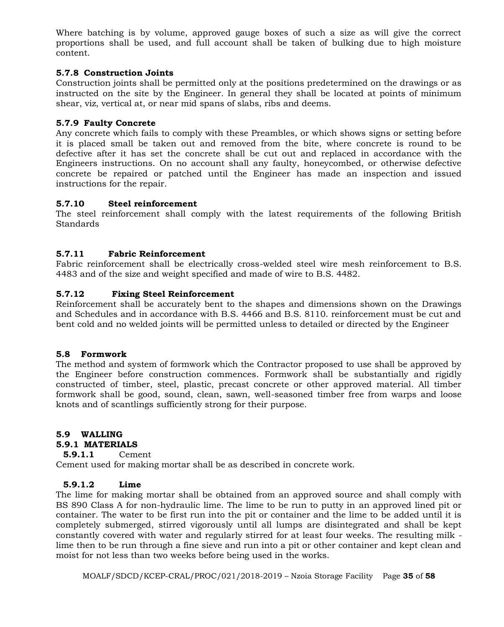Where batching is by volume, approved gauge boxes of such a size as will give the correct proportions shall be used, and full account shall be taken of bulking due to high moisture content.

#### **5.7.8 Construction Joints**

Construction joints shall be permitted only at the positions predetermined on the drawings or as instructed on the site by the Engineer. In general they shall be located at points of minimum shear, viz, vertical at, or near mid spans of slabs, ribs and deems.

#### **5.7.9 Faulty Concrete**

Any concrete which fails to comply with these Preambles, or which shows signs or setting before it is placed small be taken out and removed from the bite, where concrete is round to be defective after it has set the concrete shall be cut out and replaced in accordance with the Engineers instructions. On no account shall any faulty, honeycombed, or otherwise defective concrete be repaired or patched until the Engineer has made an inspection and issued instructions for the repair.

#### **5.7.10 Steel reinforcement**

The steel reinforcement shall comply with the latest requirements of the following British Standards

#### **5.7.11 Fabric Reinforcement**

Fabric reinforcement shall be electrically cross-welded steel wire mesh reinforcement to B.S. 4483 and of the size and weight specified and made of wire to B.S. 4482.

#### **5.7.12 Fixing Steel Reinforcement**

Reinforcement shall be accurately bent to the shapes and dimensions shown on the Drawings and Schedules and in accordance with B.S. 4466 and B.S. 8110. reinforcement must be cut and bent cold and no welded joints will be permitted unless to detailed or directed by the Engineer

#### **5.8 Formwork**

The method and system of formwork which the Contractor proposed to use shall be approved by the Engineer before construction commences. Formwork shall be substantially and rigidly constructed of timber, steel, plastic, precast concrete or other approved material. All timber formwork shall be good, sound, clean, sawn, well-seasoned timber free from warps and loose knots and of scantlings sufficiently strong for their purpose.

# **5.9 WALLING**

#### **5.9.1 MATERIALS**

# **5.9.1.1** Cement

Cement used for making mortar shall be as described in concrete work.

#### **5.9.1.2 Lime**

The lime for making mortar shall be obtained from an approved source and shall comply with BS 890 Class A for non-hydraulic lime. The lime to be run to putty in an approved lined pit or container. The water to be first run into the pit or container and the lime to be added until it is completely submerged, stirred vigorously until all lumps are disintegrated and shall be kept constantly covered with water and regularly stirred for at least four weeks. The resulting milk lime then to be run through a fine sieve and run into a pit or other container and kept clean and moist for not less than two weeks before being used in the works.

MOALF/SDCD/KCEP-CRAL/PROC/021/2018-2019 – Nzoia Storage Facility Page **35** of **58**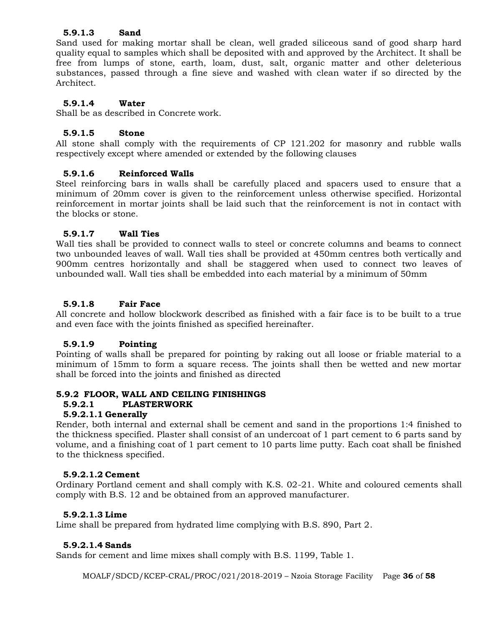#### **5.9.1.3 Sand**

Sand used for making mortar shall be clean, well graded siliceous sand of good sharp hard quality equal to samples which shall be deposited with and approved by the Architect. It shall be free from lumps of stone, earth, loam, dust, salt, organic matter and other deleterious substances, passed through a fine sieve and washed with clean water if so directed by the Architect.

#### **5.9.1.4 Water**

Shall be as described in Concrete work.

#### **5.9.1.5 Stone**

All stone shall comply with the requirements of CP 121.202 for masonry and rubble walls respectively except where amended or extended by the following clauses

#### **5.9.1.6 Reinforced Walls**

Steel reinforcing bars in walls shall be carefully placed and spacers used to ensure that a minimum of 20mm cover is given to the reinforcement unless otherwise specified. Horizontal reinforcement in mortar joints shall be laid such that the reinforcement is not in contact with the blocks or stone.

#### **5.9.1.7 Wall Ties**

Wall ties shall be provided to connect walls to steel or concrete columns and beams to connect two unbounded leaves of wall. Wall ties shall be provided at 450mm centres both vertically and 900mm centres horizontally and shall be staggered when used to connect two leaves of unbounded wall. Wall ties shall be embedded into each material by a minimum of 50mm

#### **5.9.1.8 Fair Face**

All concrete and hollow blockwork described as finished with a fair face is to be built to a true and even face with the joints finished as specified hereinafter.

# **5.9.1.9 Pointing**

Pointing of walls shall be prepared for pointing by raking out all loose or friable material to a minimum of 15mm to form a square recess. The joints shall then be wetted and new mortar shall be forced into the joints and finished as directed

#### **5.9.2 FLOOR, WALL AND CEILING FINISHINGS**

#### **5.9.2.1 PLASTERWORK**

#### **5.9.2.1.1 Generally**

Render, both internal and external shall be cement and sand in the proportions 1:4 finished to the thickness specified. Plaster shall consist of an undercoat of 1 part cement to 6 parts sand by volume, and a finishing coat of 1 part cement to 10 parts lime putty. Each coat shall be finished to the thickness specified.

#### **5.9.2.1.2 Cement**

Ordinary Portland cement and shall comply with K.S. 02-21. White and coloured cements shall comply with B.S. 12 and be obtained from an approved manufacturer.

#### **5.9.2.1.3 Lime**

Lime shall be prepared from hydrated lime complying with B.S. 890, Part 2.

#### **5.9.2.1.4 Sands**

Sands for cement and lime mixes shall comply with B.S. 1199, Table 1.

MOALF/SDCD/KCEP-CRAL/PROC/021/2018-2019 – Nzoia Storage Facility Page **36** of **58**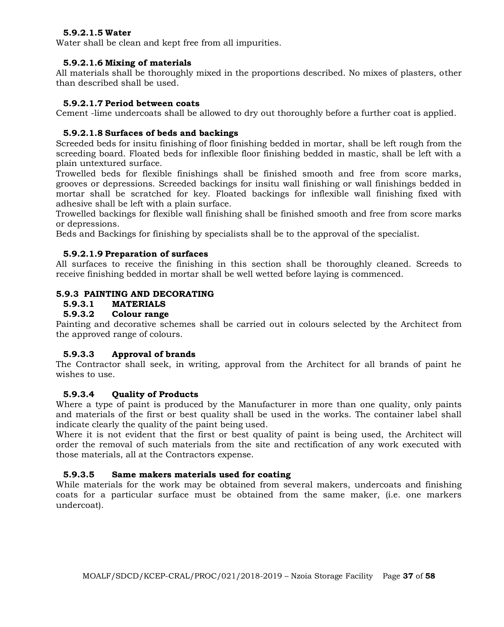#### **5.9.2.1.5 Water**

Water shall be clean and kept free from all impurities.

#### **5.9.2.1.6 Mixing of materials**

All materials shall be thoroughly mixed in the proportions described. No mixes of plasters, other than described shall be used.

#### **5.9.2.1.7 Period between coats**

Cement -lime undercoats shall be allowed to dry out thoroughly before a further coat is applied.

#### **5.9.2.1.8 Surfaces of beds and backings**

Screeded beds for insitu finishing of floor finishing bedded in mortar, shall be left rough from the screeding board. Floated beds for inflexible floor finishing bedded in mastic, shall be left with a plain untextured surface.

Trowelled beds for flexible finishings shall be finished smooth and free from score marks, grooves or depressions. Screeded backings for insitu wall finishing or wall finishings bedded in mortar shall be scratched for key. Floated backings for inflexible wall finishing fixed with adhesive shall be left with a plain surface.

Trowelled backings for flexible wall finishing shall be finished smooth and free from score marks or depressions.

Beds and Backings for finishing by specialists shall be to the approval of the specialist.

#### **5.9.2.1.9 Preparation of surfaces**

All surfaces to receive the finishing in this section shall be thoroughly cleaned. Screeds to receive finishing bedded in mortar shall be well wetted before laying is commenced.

#### **5.9.3 PAINTING AND DECORATING**

# **5.9.3.1 MATERIALS**

#### **5.9.3.2 Colour range**

Painting and decorative schemes shall be carried out in colours selected by the Architect from the approved range of colours.

#### **5.9.3.3 Approval of brands**

The Contractor shall seek, in writing, approval from the Architect for all brands of paint he wishes to use.

#### **5.9.3.4 Quality of Products**

Where a type of paint is produced by the Manufacturer in more than one quality, only paints and materials of the first or best quality shall be used in the works. The container label shall indicate clearly the quality of the paint being used.

Where it is not evident that the first or best quality of paint is being used, the Architect will order the removal of such materials from the site and rectification of any work executed with those materials, all at the Contractors expense.

# **5.9.3.5 Same makers materials used for coating**

While materials for the work may be obtained from several makers, undercoats and finishing coats for a particular surface must be obtained from the same maker, (i.e. one markers undercoat).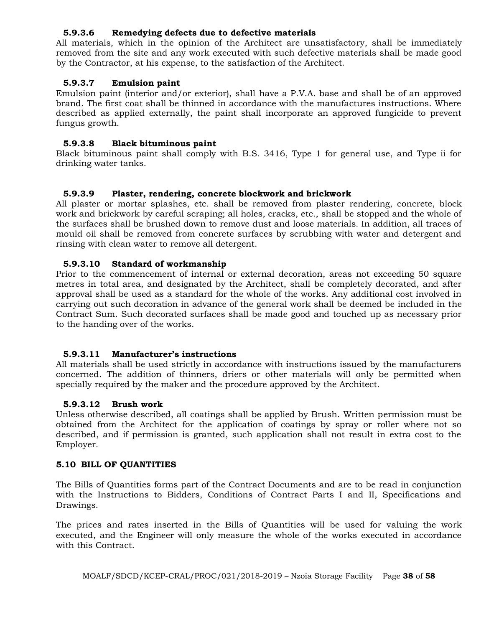#### **5.9.3.6 Remedying defects due to defective materials**

All materials, which in the opinion of the Architect are unsatisfactory, shall be immediately removed from the site and any work executed with such defective materials shall be made good by the Contractor, at his expense, to the satisfaction of the Architect.

#### **5.9.3.7 Emulsion paint**

Emulsion paint (interior and/or exterior), shall have a P.V.A. base and shall be of an approved brand. The first coat shall be thinned in accordance with the manufactures instructions. Where described as applied externally, the paint shall incorporate an approved fungicide to prevent fungus growth.

#### **5.9.3.8 Black bituminous paint**

Black bituminous paint shall comply with B.S. 3416, Type 1 for general use, and Type ii for drinking water tanks.

#### **5.9.3.9 Plaster, rendering, concrete blockwork and brickwork**

All plaster or mortar splashes, etc. shall be removed from plaster rendering, concrete, block work and brickwork by careful scraping; all holes, cracks, etc., shall be stopped and the whole of the surfaces shall be brushed down to remove dust and loose materials. In addition, all traces of mould oil shall be removed from concrete surfaces by scrubbing with water and detergent and rinsing with clean water to remove all detergent.

#### **5.9.3.10 Standard of workmanship**

Prior to the commencement of internal or external decoration, areas not exceeding 50 square metres in total area, and designated by the Architect, shall be completely decorated, and after approval shall be used as a standard for the whole of the works. Any additional cost involved in carrying out such decoration in advance of the general work shall be deemed be included in the Contract Sum. Such decorated surfaces shall be made good and touched up as necessary prior to the handing over of the works.

#### **5.9.3.11 Manufacturer's instructions**

All materials shall be used strictly in accordance with instructions issued by the manufacturers concerned. The addition of thinners, driers or other materials will only be permitted when specially required by the maker and the procedure approved by the Architect.

#### **5.9.3.12 Brush work**

Unless otherwise described, all coatings shall be applied by Brush. Written permission must be obtained from the Architect for the application of coatings by spray or roller where not so described, and if permission is granted, such application shall not result in extra cost to the Employer.

#### **5.10 BILL OF QUANTITIES**

The Bills of Quantities forms part of the Contract Documents and are to be read in conjunction with the Instructions to Bidders, Conditions of Contract Parts I and II, Specifications and Drawings.

The prices and rates inserted in the Bills of Quantities will be used for valuing the work executed, and the Engineer will only measure the whole of the works executed in accordance with this Contract.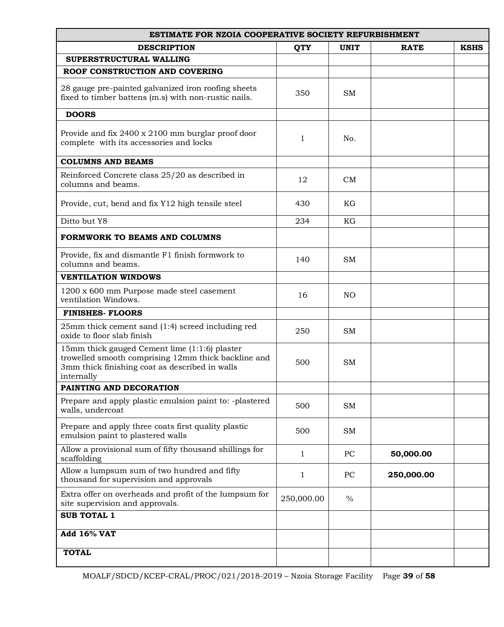| <b>ESTIMATE FOR NZOIA COOPERATIVE SOCIETY REFURBISHMENT</b>                                                                                                          |            |               |             |             |
|----------------------------------------------------------------------------------------------------------------------------------------------------------------------|------------|---------------|-------------|-------------|
| <b>DESCRIPTION</b>                                                                                                                                                   | <b>QTY</b> | <b>UNIT</b>   | <b>RATE</b> | <b>KSHS</b> |
| SUPERSTRUCTURAL WALLING                                                                                                                                              |            |               |             |             |
| ROOF CONSTRUCTION AND COVERING                                                                                                                                       |            |               |             |             |
| 28 gauge pre-painted galvanized iron roofing sheets<br>fixed to timber battens (m.s) with non-rustic nails.                                                          | 350        | <b>SM</b>     |             |             |
| <b>DOORS</b>                                                                                                                                                         |            |               |             |             |
| Provide and fix 2400 x 2100 mm burglar proof door<br>complete with its accessories and locks                                                                         | 1          | No.           |             |             |
| <b>COLUMNS AND BEAMS</b>                                                                                                                                             |            |               |             |             |
| Reinforced Concrete class 25/20 as described in<br>columns and beams.                                                                                                | 12         | CM            |             |             |
| Provide, cut, bend and fix Y12 high tensile steel                                                                                                                    | 430        | KG            |             |             |
| Ditto but Y8                                                                                                                                                         | 234        | KG            |             |             |
| <b>FORMWORK TO BEAMS AND COLUMNS</b>                                                                                                                                 |            |               |             |             |
| Provide, fix and dismantle F1 finish formwork to<br>columns and beams.                                                                                               | 140        | <b>SM</b>     |             |             |
| <b>VENTILATION WINDOWS</b>                                                                                                                                           |            |               |             |             |
| 1200 x 600 mm Purpose made steel casement<br>ventilation Windows.                                                                                                    | 16         | NO.           |             |             |
| <b>FINISHES- FLOORS</b>                                                                                                                                              |            |               |             |             |
| 25mm thick cement sand (1:4) screed including red<br>oxide to floor slab finish                                                                                      | 250        | <b>SM</b>     |             |             |
| 15mm thick gauged Cement lime (1:1:6) plaster<br>trowelled smooth comprising 12mm thick backline and<br>3mm thick finishing coat as described in walls<br>internally | 500        | <b>SM</b>     |             |             |
| PAINTING AND DECORATION                                                                                                                                              |            |               |             |             |
| Prepare and apply plastic emulsion paint to: -plastered<br>walls, undercoat                                                                                          | 500        | <b>SM</b>     |             |             |
| Prepare and apply three coats first quality plastic<br>emulsion paint to plastered walls                                                                             | 500        | <b>SM</b>     |             |             |
| Allow a provisional sum of fifty thousand shillings for<br>scaffolding                                                                                               | 1          | PC            | 50,000.00   |             |
| Allow a lumpsum sum of two hundred and fifty<br>thousand for supervision and approvals                                                                               | 1          | PC            | 250,000.00  |             |
| Extra offer on overheads and profit of the lumpsum for<br>site supervision and approvals.                                                                            | 250,000.00 | $\frac{0}{0}$ |             |             |
| <b>SUB TOTAL 1</b>                                                                                                                                                   |            |               |             |             |
| Add 16% VAT                                                                                                                                                          |            |               |             |             |
| <b>TOTAL</b>                                                                                                                                                         |            |               |             |             |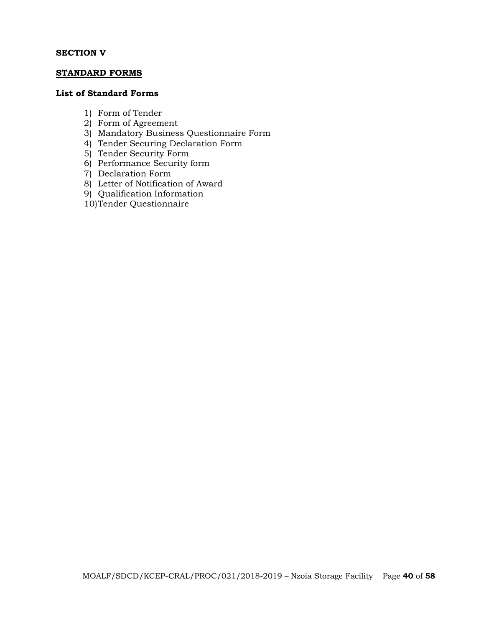#### **SECTION V**

#### **STANDARD FORMS**

#### **List of Standard Forms**

- 1) Form of Tender
- 2) Form of Agreement
- 3) Mandatory Business Questionnaire Form
- 4) Tender Securing Declaration Form
- 5) Tender Security Form
- 6) Performance Security form
- 7) Declaration Form
- 8) Letter of Notification of Award
- 9) Qualification Information
- 10)Tender Questionnaire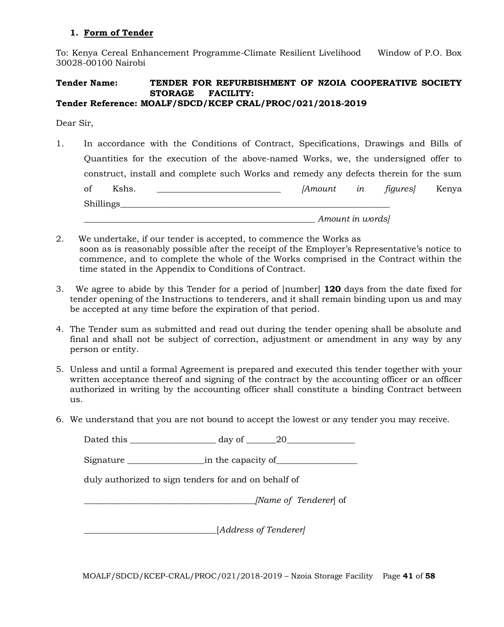#### **1. Form of Tender**

To: Kenya Cereal Enhancement Programme-Climate Resilient Livelihood Window of P.O. Box 30028-00100 Nairobi

#### **Tender Name: TENDER FOR REFURBISHMENT OF NZOIA COOPERATIVE SOCIETY STORAGE FACILITY: Tender Reference: MOALF/SDCD/KCEP CRAL/PROC/021/2018-2019**

Dear Sir,

- 1. In accordance with the Conditions of Contract, Specifications, Drawings and Bills of Quantities for the execution of the above-named Works, we, the undersigned offer to construct, install and complete such Works and remedy any defects therein for the sum of Kshs. \_\_\_\_\_\_\_\_\_\_\_\_\_\_\_\_\_\_\_\_\_\_\_\_\_\_\_\_\_ *[Amount in figures]* Kenya  $S$ hillings *\_\_\_\_\_\_\_\_\_\_\_\_\_\_\_\_\_\_\_\_\_\_\_\_\_\_\_\_\_\_\_\_\_\_\_\_\_\_\_\_\_\_\_\_\_\_\_\_\_\_\_\_\_\_ Amount in words]*
- 2. We undertake, if our tender is accepted, to commence the Works as soon as is reasonably possible after the receipt of the Employer's Representative's notice to commence, and to complete the whole of the Works comprised in the Contract within the time stated in the Appendix to Conditions of Contract.
- 3. We agree to abide by this Tender for a period of [number] **120** days from the date fixed for tender opening of the Instructions to tenderers, and it shall remain binding upon us and may be accepted at any time before the expiration of that period.
- 4. The Tender sum as submitted and read out during the tender opening shall be absolute and final and shall not be subject of correction, adjustment or amendment in any way by any person or entity.
- 5. Unless and until a formal Agreement is prepared and executed this tender together with your written acceptance thereof and signing of the contract by the accounting officer or an officer authorized in writing by the accounting officer shall constitute a binding Contract between us.
- 6. We understand that you are not bound to accept the lowest or any tender you may receive.

Dated this \_\_\_\_\_\_\_\_\_\_\_\_\_\_\_\_\_\_\_\_ day of \_\_\_\_\_\_\_20\_\_\_\_\_\_\_\_\_\_\_\_\_\_\_\_ Signature \_\_\_\_\_\_\_\_\_\_\_\_\_\_\_\_\_\_in the capacity of\_\_\_\_\_\_\_\_\_\_\_\_\_\_\_\_\_\_\_ duly authorized to sign tenders for and on behalf of *\_\_\_\_\_\_\_\_\_\_\_\_\_\_\_\_\_\_\_\_\_\_\_\_\_\_\_\_\_\_\_\_\_\_\_\_\_\_\_\_[Name of Tenderer*] of *\_\_\_\_\_\_\_*\_\_\_\_\_\_\_\_\_\_\_\_\_\_\_\_\_\_\_\_\_\_\_\_[*Address of Tenderer]*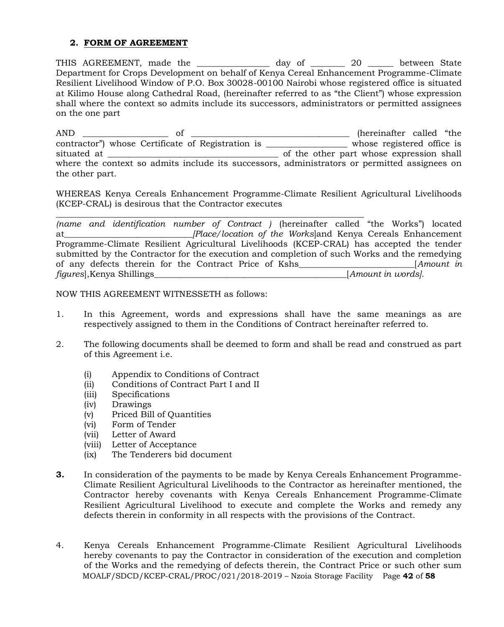#### **2. FORM OF AGREEMENT**

THIS AGREEMENT, made the \_\_\_\_\_\_\_\_\_\_\_\_\_\_\_\_ day of \_\_\_\_\_\_\_\_ 20 \_\_\_\_\_\_ between State Department for Crops Development on behalf of Kenya Cereal Enhancement Programme-Climate Resilient Livelihood Window of P.O. Box 30028-00100 Nairobi whose registered office is situated at Kilimo House along Cathedral Road, (hereinafter referred to as "the Client") whose expression shall where the context so admits include its successors, administrators or permitted assignees on the one part

AND \_\_\_\_\_\_\_\_\_\_\_\_\_\_\_\_\_\_\_\_ of \_\_\_\_\_\_\_\_\_\_\_\_\_\_\_\_\_\_\_\_\_\_\_\_\_\_\_\_\_\_\_\_\_\_\_\_\_ (hereinafter called "the contractor") whose Certificate of Registration is \_\_\_\_\_\_\_\_\_\_\_\_\_\_\_\_\_\_\_ whose registered office is situated at \_\_\_\_\_\_\_\_\_\_\_\_\_\_\_\_\_\_\_\_\_\_\_\_\_\_\_\_\_\_\_\_\_\_\_\_\_\_\_\_ of the other part whose expression shall where the context so admits include its successors, administrators or permitted assignees on the other part.

WHEREAS Kenya Cereals Enhancement Programme-Climate Resilient Agricultural Livelihoods (KCEP-CRAL) is desirous that the Contractor executes

\_\_\_\_\_\_\_\_\_\_\_\_\_\_\_\_\_\_\_\_\_\_\_\_\_\_\_\_\_\_\_\_\_\_\_\_\_\_\_\_\_\_\_\_\_\_\_\_\_\_\_\_\_\_\_\_\_\_\_\_\_\_\_\_\_\_\_\_\_\_\_\_ *(name and identification number of Contract )* (hereinafter called "the Works") located at*\_\_\_\_\_\_\_\_\_\_\_\_\_\_\_\_\_\_\_\_\_\_\_\_\_\_\_\_\_\_[Place/location of the Works*]and Kenya Cereals Enhancement Programme-Climate Resilient Agricultural Livelihoods (KCEP-CRAL) has accepted the tender submitted by the Contractor for the execution and completion of such Works and the remedying of any defects therein for the Contract Price of Kshs\_\_\_\_\_\_\_\_\_\_\_\_\_\_\_\_\_\_\_\_\_\_\_\_\_\_\_[*Amount in figures*],Kenya Shillings\_\_\_\_\_\_\_\_\_\_\_\_\_\_\_\_\_\_\_\_\_\_\_\_\_\_\_\_\_\_\_\_\_\_\_\_\_\_\_\_\_\_\_\_\_[*Amount in words].*

NOW THIS AGREEMENT WITNESSETH as follows:

- 1. In this Agreement, words and expressions shall have the same meanings as are respectively assigned to them in the Conditions of Contract hereinafter referred to.
- 2. The following documents shall be deemed to form and shall be read and construed as part of this Agreement i.e.
	- (i) Appendix to Conditions of Contract
	- (ii) Conditions of Contract Part I and II
	- (iii) Specifications
	- (iv) Drawings
	- (v) Priced Bill of Quantities
	- (vi) Form of Tender
	- (vii) Letter of Award
	- (viii) Letter of Acceptance
	- (ix) The Tenderers bid document
- **3.** In consideration of the payments to be made by Kenya Cereals Enhancement Programme-Climate Resilient Agricultural Livelihoods to the Contractor as hereinafter mentioned, the Contractor hereby covenants with Kenya Cereals Enhancement Programme-Climate Resilient Agricultural Livelihood to execute and complete the Works and remedy any defects therein in conformity in all respects with the provisions of the Contract.
- MOALF/SDCD/KCEP-CRAL/PROC/021/2018-2019 Nzoia Storage Facility Page **42** of **58** 4. Kenya Cereals Enhancement Programme-Climate Resilient Agricultural Livelihoods hereby covenants to pay the Contractor in consideration of the execution and completion of the Works and the remedying of defects therein, the Contract Price or such other sum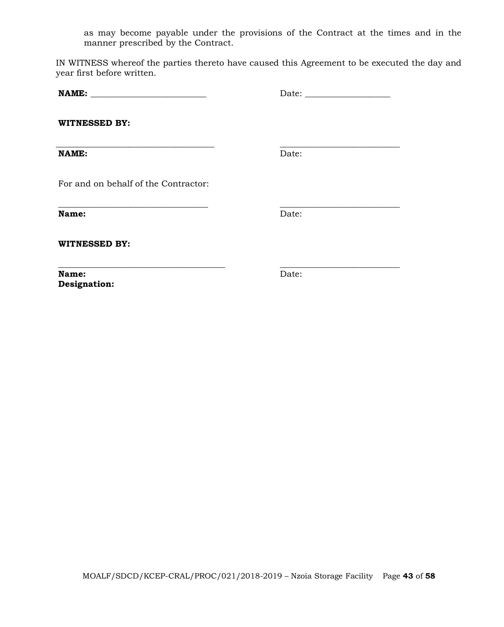as may become payable under the provisions of the Contract at the times and in the manner prescribed by the Contract.

IN WITNESS whereof the parties thereto have caused this Agreement to be executed the day and year first before written.

**\_\_\_\_\_\_\_\_\_\_\_\_\_\_\_\_\_\_\_\_\_\_\_\_\_\_\_\_\_\_\_\_\_\_\_ \_\_\_\_\_\_\_\_\_\_\_\_\_\_\_\_\_\_\_\_\_\_\_\_\_\_\_\_**

**NAME: \_\_\_\_\_\_\_\_\_\_\_\_\_\_\_\_\_\_\_\_\_\_\_\_\_\_\_** Date: \_\_\_\_\_\_\_\_\_\_\_\_\_\_\_\_\_\_\_\_

**WITNESSED BY:**

**\_\_\_\_\_\_\_\_\_\_\_\_\_\_\_\_\_\_\_\_\_\_\_\_\_\_\_\_\_\_\_\_\_\_\_\_\_ \_\_\_\_\_\_\_\_\_\_\_\_\_\_\_\_\_\_\_\_\_\_\_\_\_\_\_\_ NAME:** Date:

For and on behalf of the Contractor:

**Name:** Date:

**WITNESSED BY:**

**\_\_\_\_\_\_\_\_\_\_\_\_\_\_\_\_\_\_\_\_\_\_\_\_\_\_\_\_\_\_\_\_\_\_\_\_\_\_\_ \_\_\_\_\_\_\_\_\_\_\_\_\_\_\_\_\_\_\_\_\_\_\_\_\_\_\_\_ Name:** Date: **Designation:**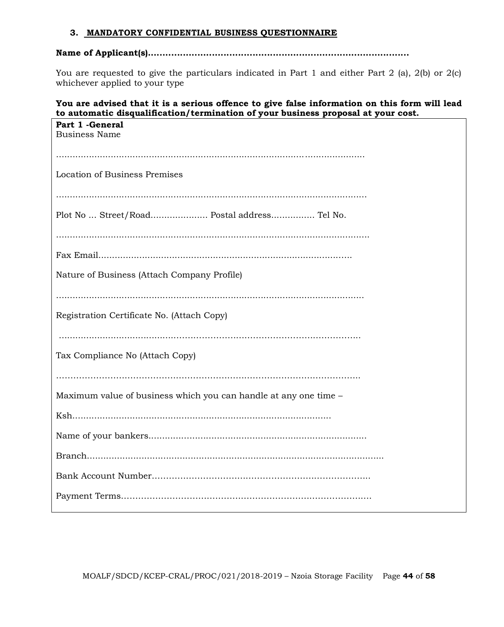#### **3. MANDATORY CONFIDENTIAL BUSINESS QUESTIONNAIRE**

# **Name of Applicant(s)..........................................................................................**

You are requested to give the particulars indicated in Part 1 and either Part 2 (a), 2(b) or 2(c) whichever applied to your type

#### **You are advised that it is a serious offence to give false information on this form will lead to automatic disqualification/termination of your business proposal at your cost.**

| Part 1 - General<br><b>Business Name</b>                         |
|------------------------------------------------------------------|
|                                                                  |
| Location of Business Premises                                    |
|                                                                  |
| Plot No  Street/Road Postal address Tel No.                      |
|                                                                  |
|                                                                  |
| Nature of Business (Attach Company Profile)                      |
|                                                                  |
| Registration Certificate No. (Attach Copy)                       |
|                                                                  |
| Tax Compliance No (Attach Copy)                                  |
|                                                                  |
| Maximum value of business which you can handle at any one time - |
|                                                                  |
|                                                                  |
|                                                                  |
|                                                                  |
|                                                                  |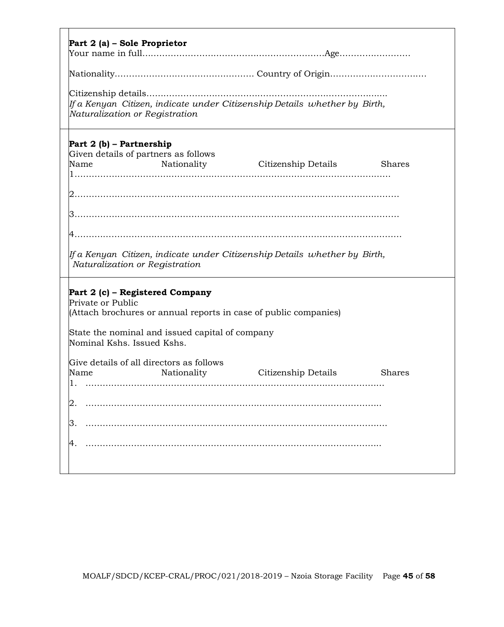| Part 2 (a) - Sole Proprietor                                                                                                                                                                              |
|-----------------------------------------------------------------------------------------------------------------------------------------------------------------------------------------------------------|
|                                                                                                                                                                                                           |
| If a Kenyan Citizen, indicate under Citizenship Details whether by Birth,<br>Naturalization or Registration                                                                                               |
| Part 2 (b) – Partnership<br>Given details of partners as follows<br>Nationality Citizenship Details<br>Name<br><b>Shares</b>                                                                              |
| If a Kenyan  Citizen, indicate under Citizenship Details  whether by  Birth,<br>Naturalization or Registration                                                                                            |
| Part 2 (c) – Registered Company<br>Private or Public<br>(Attach brochures or annual reports in case of public companies)<br>State the nominal and issued capital of company<br>Nominal Kshs. Issued Kshs. |
| Give details of all directors as follows<br>Citizenship Details<br>Nationality<br><b>Shares</b><br>Name                                                                                                   |
|                                                                                                                                                                                                           |
|                                                                                                                                                                                                           |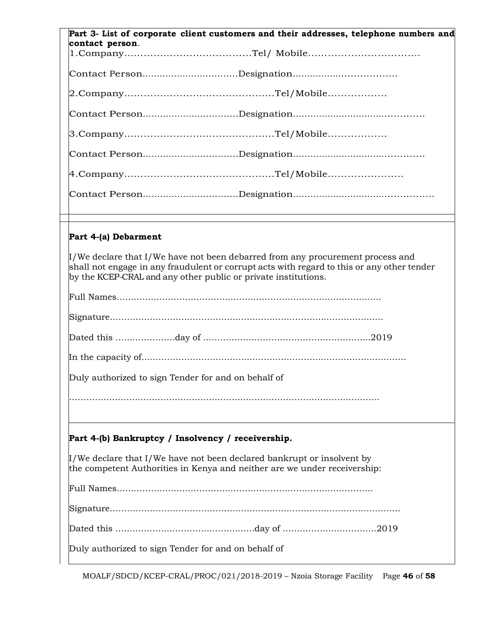| contact person.      |                                                                                                                                                                       | Part 3- List of corporate client customers and their addresses, telephone numbers and      |
|----------------------|-----------------------------------------------------------------------------------------------------------------------------------------------------------------------|--------------------------------------------------------------------------------------------|
|                      |                                                                                                                                                                       |                                                                                            |
|                      |                                                                                                                                                                       |                                                                                            |
|                      |                                                                                                                                                                       |                                                                                            |
|                      |                                                                                                                                                                       |                                                                                            |
|                      |                                                                                                                                                                       |                                                                                            |
|                      |                                                                                                                                                                       |                                                                                            |
|                      |                                                                                                                                                                       |                                                                                            |
|                      |                                                                                                                                                                       |                                                                                            |
| Part 4-(a) Debarment |                                                                                                                                                                       |                                                                                            |
|                      | $\mathbb{I}/\mathbb{W}$ e declare that I/We have not been debarred from any procurement process and<br>by the KCEP-CRAL and any other public or private institutions. | shall not engage in any fraudulent or corrupt acts with regard to this or any other tender |
|                      |                                                                                                                                                                       |                                                                                            |
|                      |                                                                                                                                                                       |                                                                                            |
|                      |                                                                                                                                                                       |                                                                                            |
|                      |                                                                                                                                                                       |                                                                                            |
|                      | Duly authorized to sign Tender for and on behalf of                                                                                                                   |                                                                                            |
|                      |                                                                                                                                                                       |                                                                                            |
|                      |                                                                                                                                                                       |                                                                                            |
|                      |                                                                                                                                                                       |                                                                                            |

the competent Authorities in Kenya and neither are we under receivership:

Full Names……………………………………………………………………………… Signature…………………………………………………………………………………………

Dated this …………………………….……………day of ……………………………2019

Duly authorized to sign Tender for and on behalf of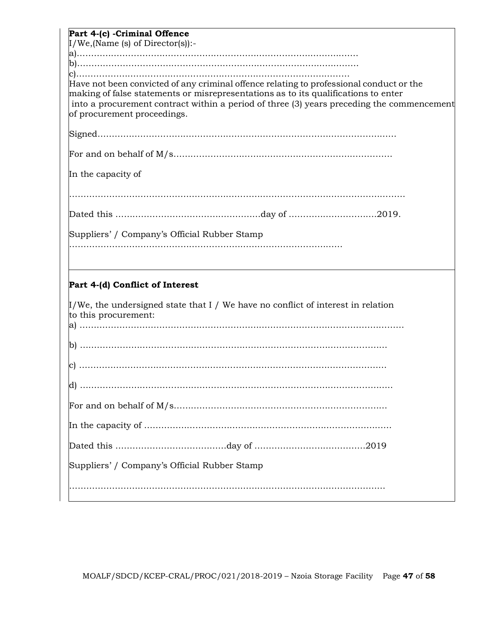| Part 4-(c) -Criminal Offence                                                                                                                                                                                                                                                                              |
|-----------------------------------------------------------------------------------------------------------------------------------------------------------------------------------------------------------------------------------------------------------------------------------------------------------|
| $I/We$ , (Name (s) of Director(s)):-                                                                                                                                                                                                                                                                      |
|                                                                                                                                                                                                                                                                                                           |
|                                                                                                                                                                                                                                                                                                           |
|                                                                                                                                                                                                                                                                                                           |
| Have not been convicted of any criminal offence relating to professional conduct or the<br>making of false statements or misrepresentations as to its qualifications to enter<br>into a procurement contract within a period of three (3) years preceding the commencement<br>of procurement proceedings. |
|                                                                                                                                                                                                                                                                                                           |
|                                                                                                                                                                                                                                                                                                           |
| In the capacity of                                                                                                                                                                                                                                                                                        |
|                                                                                                                                                                                                                                                                                                           |
|                                                                                                                                                                                                                                                                                                           |
| Suppliers' / Company's Official Rubber Stamp                                                                                                                                                                                                                                                              |
| Part 4-(d) Conflict of Interest                                                                                                                                                                                                                                                                           |
| $\mu$ /We, the undersigned state that I / We have no conflict of interest in relation<br>to this procurement:                                                                                                                                                                                             |
|                                                                                                                                                                                                                                                                                                           |
|                                                                                                                                                                                                                                                                                                           |
|                                                                                                                                                                                                                                                                                                           |
|                                                                                                                                                                                                                                                                                                           |
|                                                                                                                                                                                                                                                                                                           |
|                                                                                                                                                                                                                                                                                                           |
|                                                                                                                                                                                                                                                                                                           |
| Suppliers' / Company's Official Rubber Stamp                                                                                                                                                                                                                                                              |
|                                                                                                                                                                                                                                                                                                           |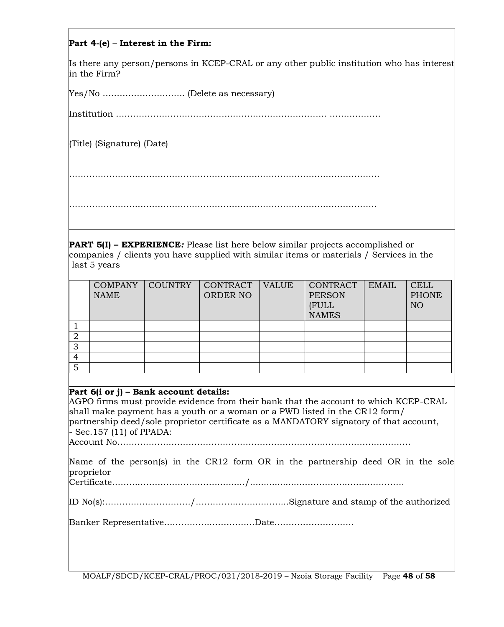# **Part 4-(e)** – **Interest in the Firm:**

Is there any person/persons in KCEP-CRAL or any other public institution who has interest in the Firm?

Yes/No ……………………….. (Delete as necessary)

Institution ………………………….……………………………………. ………………

(Title) (Signature) (Date)

………………………………………………………………………………………………

**PART 5(I) – EXPERIENCE***:* Please list here below similar projects accomplished or companies / clients you have supplied with similar items or materials / Services in the last 5 years

……………………………………………………………………………………………….

|   | <b>COMPANY</b><br><b>NAME</b> | <b>COUNTRY</b> | CONTRACT<br><b>ORDER NO</b> | <b>VALUE</b> | CONTRACT<br><b>PERSON</b><br>(FULL<br><b>NAMES</b> | <b>EMAIL</b> | <b>CELL</b><br><b>PHONE</b><br>NO |
|---|-------------------------------|----------------|-----------------------------|--------------|----------------------------------------------------|--------------|-----------------------------------|
|   |                               |                |                             |              |                                                    |              |                                   |
| 2 |                               |                |                             |              |                                                    |              |                                   |
| 3 |                               |                |                             |              |                                                    |              |                                   |
| 4 |                               |                |                             |              |                                                    |              |                                   |
| 5 |                               |                |                             |              |                                                    |              |                                   |

# **Part 6(i or j) – Bank account details:**

AGPO firms must provide evidence from their bank that the account to which KCEP-CRAL shall make payment has a youth or a woman or a PWD listed in the CR12 form/ partnership deed/sole proprietor certificate as a MANDATORY signatory of that account, - Sec.157 (11) of PPADA:

Account No………………………………………………………………………………………….

|            |  |  |  |  |  |  |  |  |  | Name of the person(s) in the CR12 form OR in the partnership deed OR in the sole |  |  |  |  |  |
|------------|--|--|--|--|--|--|--|--|--|----------------------------------------------------------------------------------|--|--|--|--|--|
| proprietor |  |  |  |  |  |  |  |  |  |                                                                                  |  |  |  |  |  |

Certificate………………………….………......./...................……………..……………….

ID No(s):…………………………/…….……..…….…..…...Signature and stamp of the authorized

Banker Representative……………..……………Date……………………….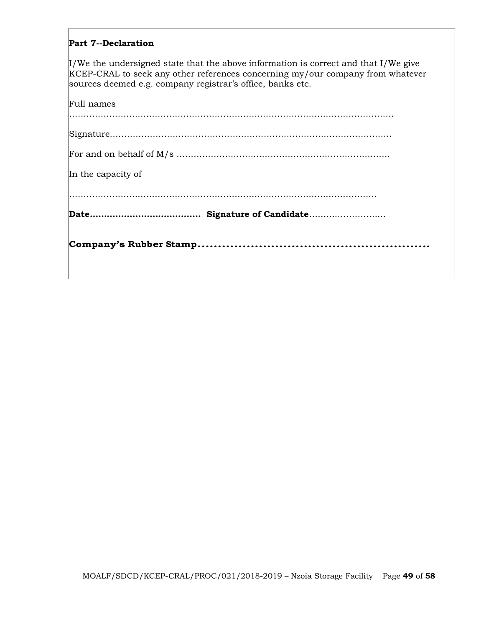#### **Part 7--Declaration**

I/We the undersigned state that the above information is correct and that I/We give KCEP-CRAL to seek any other references concerning my/our company from whatever sources deemed e.g. company registrar's office, banks etc.

| In the capacity of |
|--------------------|
|                    |
|                    |
|                    |
| Full names         |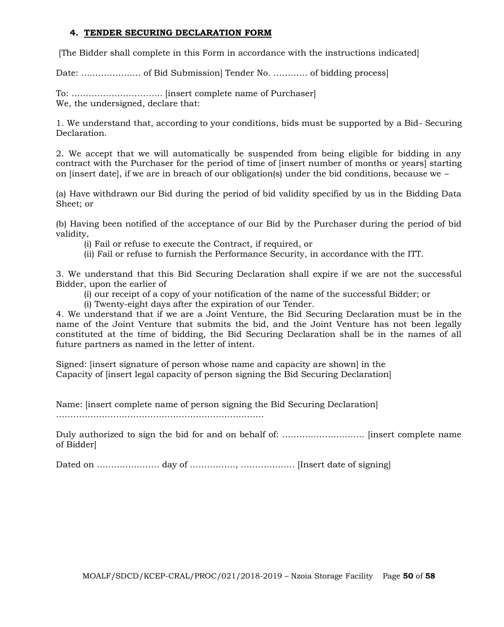# **4. TENDER SECURING DECLARATION FORM**

[The Bidder shall complete in this Form in accordance with the instructions indicated]

Date: ………………… of Bid Submission] Tender No. ………… of bidding process]

To: ………………………….. [insert complete name of Purchaser] We, the undersigned, declare that:

1. We understand that, according to your conditions, bids must be supported by a Bid- Securing Declaration.

2. We accept that we will automatically be suspended from being eligible for bidding in any contract with the Purchaser for the period of time of linsert number of months or years] starting on [insert date], if we are in breach of our obligation(s) under the bid conditions, because we  $-$ 

(a) Have withdrawn our Bid during the period of bid validity specified by us in the Bidding Data Sheet; or

(b) Having been notified of the acceptance of our Bid by the Purchaser during the period of bid validity,

(i) Fail or refuse to execute the Contract, if required, or

(ii) Fail or refuse to furnish the Performance Security, in accordance with the ITT.

3. We understand that this Bid Securing Declaration shall expire if we are not the successful Bidder, upon the earlier of

(i) our receipt of a copy of your notification of the name of the successful Bidder; or

(i) Twenty-eight days after the expiration of our Tender.

4. We understand that if we are a Joint Venture, the Bid Securing Declaration must be in the name of the Joint Venture that submits the bid, and the Joint Venture has not been legally constituted at the time of bidding, the Bid Securing Declaration shall be in the names of all future partners as named in the letter of intent.

Signed: [insert signature of person whose name and capacity are shown] in the Capacity of [insert legal capacity of person signing the Bid Securing Declaration]

Name: [insert complete name of person signing the Bid Securing Declaration]

……………………………………………………………….

Duly authorized to sign the bid for and on behalf of: ……………………………………… [insert complete name of Bidder]

Dated on …………………. day of ……………., ………………. [Insert date of signing]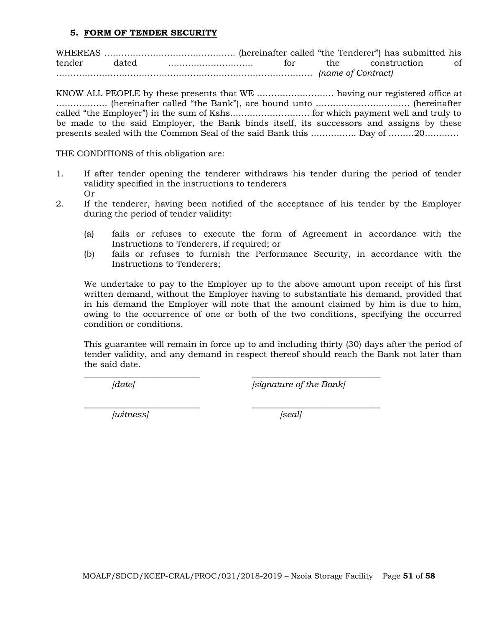#### **5. FORM OF TENDER SECURITY**

WHEREAS ………………………………………. (hereinafter called "the Tenderer") has submitted his tender dated ………………………… for the construction of ……………………………………………………………………………… *(name of Contract)*

KNOW ALL PEOPLE by these presents that WE ……………………… having our registered office at ……………… (hereinafter called "the Bank"), are bound unto …………………………… (hereinafter called "the Employer") in the sum of Kshs.……………………… for which payment well and truly to be made to the said Employer, the Bank binds itself, its successors and assigns by these presents sealed with the Common Seal of the said Bank this ……………. Day of ………20…………

THE CONDITIONS of this obligation are:

- 1. If after tender opening the tenderer withdraws his tender during the period of tender validity specified in the instructions to tenderers Or
- 2. If the tenderer, having been notified of the acceptance of his tender by the Employer during the period of tender validity:
	- (a) fails or refuses to execute the form of Agreement in accordance with the Instructions to Tenderers, if required; or
	- (b) fails or refuses to furnish the Performance Security, in accordance with the Instructions to Tenderers;

We undertake to pay to the Employer up to the above amount upon receipt of his first written demand, without the Employer having to substantiate his demand, provided that in his demand the Employer will note that the amount claimed by him is due to him, owing to the occurrence of one or both of the two conditions, specifying the occurred condition or conditions.

This guarantee will remain in force up to and including thirty (30) days after the period of tender validity, and any demand in respect thereof should reach the Bank not later than the said date.

\_\_\_\_\_\_\_\_\_\_\_\_\_\_\_\_\_\_\_\_\_\_\_\_\_\_\_ \_\_\_\_\_\_\_\_\_\_\_\_\_\_\_\_\_\_\_\_\_\_\_\_\_\_\_\_\_\_

*[date[ [signature of the Bank]*

*\_\_\_\_\_\_\_\_\_\_\_\_\_\_\_\_\_\_\_\_\_\_\_\_\_\_\_ \_\_\_\_\_\_\_\_\_\_\_\_\_\_\_\_\_\_\_\_\_\_\_\_\_\_\_\_\_\_ [witness] [seal]*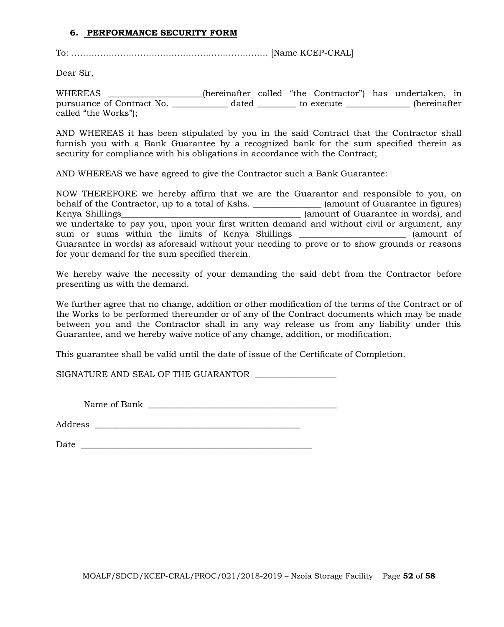#### **6. PERFORMANCE SECURITY FORM**

To: …………………………………………………………… [Name KCEP-CRAL]

Dear Sir,

WHEREAS \_\_\_\_\_\_\_\_\_\_\_\_\_\_\_\_\_\_\_\_\_\_(hereinafter called "the Contractor") has undertaken, in pursuance of Contract No. <br>  $\ddot{\theta}$  dated to execute  $\ddot{\theta}$  (hereinafter called "the Works");

AND WHEREAS it has been stipulated by you in the said Contract that the Contractor shall furnish you with a Bank Guarantee by a recognized bank for the sum specified therein as security for compliance with his obligations in accordance with the Contract;

AND WHEREAS we have agreed to give the Contractor such a Bank Guarantee:

NOW THEREFORE we hereby affirm that we are the Guarantor and responsible to you, on behalf of the Contractor, up to a total of Kshs. \_\_\_\_\_\_\_\_\_\_\_\_\_\_\_\_ (amount of Guarantee in figures) Kenya Shillings\_\_\_\_\_\_\_\_\_\_\_\_\_\_\_\_\_\_\_\_\_\_\_\_\_\_\_\_\_\_\_\_\_\_\_\_\_\_\_\_\_\_ (amount of Guarantee in words), and we undertake to pay you, upon your first written demand and without civil or argument, any sum or sums within the limits of Kenya Shillings (amount of Guarantee in words) as aforesaid without your needing to prove or to show grounds or reasons for your demand for the sum specified therein.

We hereby waive the necessity of your demanding the said debt from the Contractor before presenting us with the demand.

We further agree that no change, addition or other modification of the terms of the Contract or of the Works to be performed thereunder or of any of the Contract documents which may be made between you and the Contractor shall in any way release us from any liability under this Guarantee, and we hereby waive notice of any change, addition, or modification.

This guarantee shall be valid until the date of issue of the Certificate of Completion.

SIGNATURE AND SEAL OF THE GUARANTOR \_\_\_\_\_\_\_\_\_\_\_\_\_\_\_\_\_\_\_

Name of Bank \_\_\_\_\_\_\_\_\_\_\_\_\_\_\_\_\_\_\_\_\_\_\_\_\_\_\_\_\_\_\_\_\_\_\_\_\_\_\_\_\_\_\_\_

Address \_\_\_\_\_\_\_\_\_\_\_\_\_\_\_\_\_\_\_\_\_\_\_\_\_\_\_\_\_\_\_\_\_\_\_\_\_\_\_\_\_\_\_\_\_\_\_\_

 $Date$   $\Box$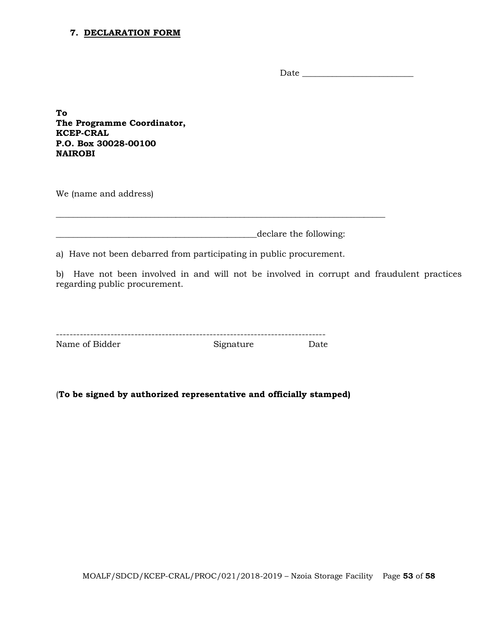#### **7. DECLARATION FORM**

Date \_\_\_\_\_\_\_\_\_\_\_\_\_\_\_\_\_\_\_\_\_\_\_\_\_\_

**To The Programme Coordinator, KCEP-CRAL P.O. Box 30028-00100 NAIROBI**

We (name and address)

\_\_\_\_\_\_\_\_\_\_\_\_\_\_\_\_\_\_\_\_\_\_\_\_\_\_\_\_\_\_\_\_\_\_\_\_\_\_\_\_\_\_\_\_\_\_\_declare the following:

a) Have not been debarred from participating in public procurement.

\_\_\_\_\_\_\_\_\_\_\_\_\_\_\_\_\_\_\_\_\_\_\_\_\_\_\_\_\_\_\_\_\_\_\_\_\_\_\_\_\_\_\_\_\_\_\_\_\_\_\_\_\_\_\_\_\_\_\_\_\_\_\_\_\_\_\_\_\_\_\_\_\_\_\_\_\_

b) Have not been involved in and will not be involved in corrupt and fraudulent practices regarding public procurement.

| Name of Bidder | Signature | Date |
|----------------|-----------|------|

(**To be signed by authorized representative and officially stamped)**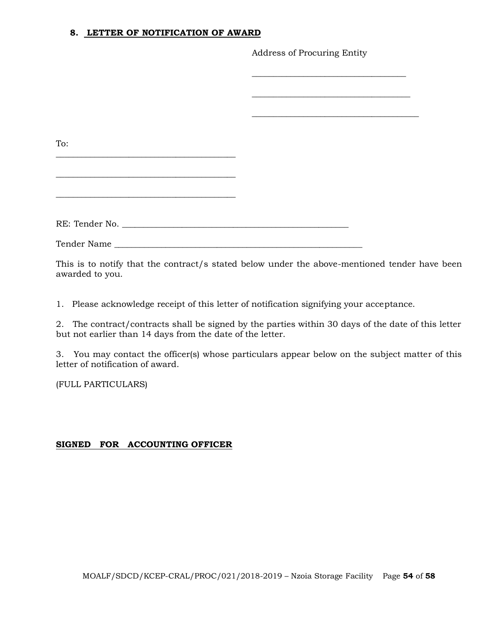#### **8. LETTER OF NOTIFICATION OF AWARD**

Address of Procuring Entity

| To:            |  |
|----------------|--|
|                |  |
|                |  |
|                |  |
|                |  |
|                |  |
| RE: Tender No. |  |
|                |  |
|                |  |

This is to notify that the contract/s stated below under the above-mentioned tender have been awarded to you.

1. Please acknowledge receipt of this letter of notification signifying your acceptance.

2. The contract/contracts shall be signed by the parties within 30 days of the date of this letter but not earlier than 14 days from the date of the letter.

3. You may contact the officer(s) whose particulars appear below on the subject matter of this letter of notification of award.

(FULL PARTICULARS)

# **SIGNED FOR ACCOUNTING OFFICER**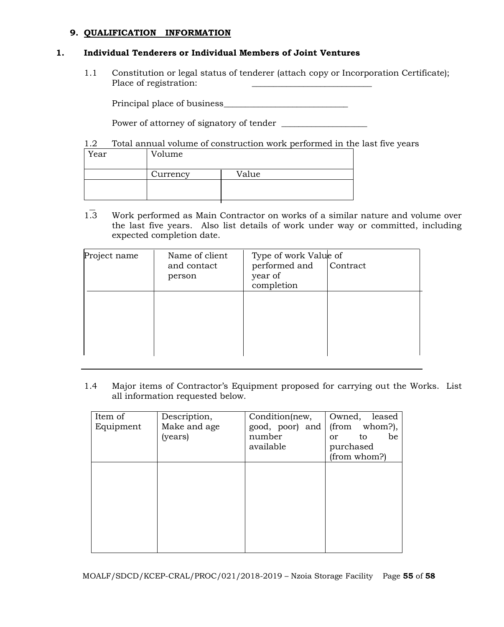#### **9. QUALIFICATION INFORMATION**

#### **1. Individual Tenderers or Individual Members of Joint Ventures**

1.1 Constitution or legal status of tenderer (attach copy or Incorporation Certificate); Place of registration:

Principal place of business\_\_\_\_\_\_\_\_\_\_\_\_\_\_\_\_\_\_\_\_\_\_\_\_\_\_\_\_\_

Power of attorney of signatory of tender \_\_\_\_\_\_\_\_\_\_\_\_\_\_\_\_\_\_\_\_

#### 1.2 Total annual volume of construction work performed in the last five years

| Year | Volume   |       |
|------|----------|-------|
|      | Currency | Value |
|      |          |       |

1.3 Work performed as Main Contractor on works of a similar nature and volume over the last five years. Also list details of work under way or committed, including expected completion date.

| Project name | Name of client<br>and contact<br>person | Type of work Value of<br>performed and<br>year of<br>completion | Contract |
|--------------|-----------------------------------------|-----------------------------------------------------------------|----------|
|              |                                         |                                                                 |          |
|              |                                         |                                                                 |          |

1.4 Major items of Contractor's Equipment proposed for carrying out the Works. List all information requested below.

| Item of   | Description, | Condition(new,  | Owned,<br>leased          |
|-----------|--------------|-----------------|---------------------------|
| Equipment | Make and age | good, poor) and | (from<br>whom?),          |
|           | (years)      | number          | be<br>to<br><sub>or</sub> |
|           |              | available       | purchased                 |
|           |              |                 | (from whom?)              |
|           |              |                 |                           |
|           |              |                 |                           |
|           |              |                 |                           |
|           |              |                 |                           |
|           |              |                 |                           |
|           |              |                 |                           |
|           |              |                 |                           |
|           |              |                 |                           |
|           |              |                 |                           |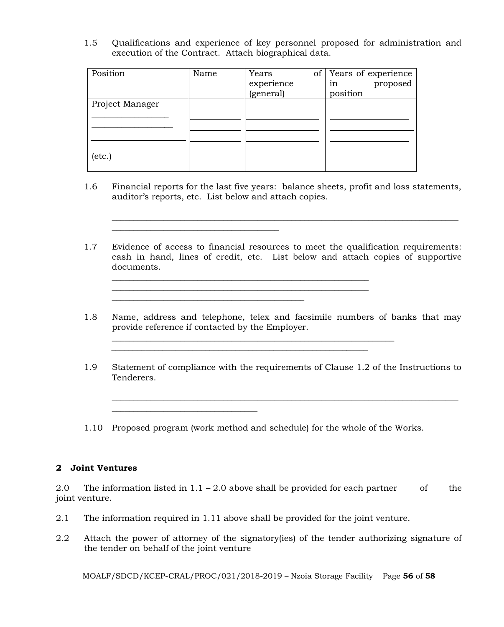1.5 Qualifications and experience of key personnel proposed for administration and execution of the Contract. Attach biographical data.

| Position        | Name | Years<br>of <sub>1</sub> | Years of experience |
|-----------------|------|--------------------------|---------------------|
|                 |      | experience               | proposed<br>1n      |
|                 |      | (general)                | position            |
| Project Manager |      |                          |                     |
|                 |      |                          |                     |
|                 |      |                          |                     |
|                 |      |                          |                     |
|                 |      |                          |                     |
| $(\text{etc.})$ |      |                          |                     |
|                 |      |                          |                     |

 $\overline{\phantom{a}}$  , and the set of the set of the set of the set of the set of the set of the set of the set of the set of the set of the set of the set of the set of the set of the set of the set of the set of the set of the s

\_\_\_\_\_\_\_\_\_\_\_\_\_\_\_\_\_\_\_\_\_\_\_\_\_\_\_\_\_\_\_\_\_\_

1.6 Financial reports for the last five years: balance sheets, profit and loss statements, auditor's reports, etc. List below and attach copies.

\_\_\_\_\_\_\_\_\_\_\_\_\_\_\_\_\_\_\_\_\_\_\_\_\_\_\_\_\_\_\_\_\_\_\_\_\_\_\_\_\_\_\_\_\_\_\_\_\_\_\_\_\_\_\_\_\_\_\_\_\_\_\_\_\_\_\_\_\_\_\_\_\_\_\_\_\_\_\_\_\_

1.7 Evidence of access to financial resources to meet the qualification requirements: cash in hand, lines of credit, etc. List below and attach copies of supportive documents.

\_\_\_\_\_\_\_\_\_\_\_\_\_\_\_\_\_\_\_\_\_\_\_\_\_\_\_\_\_\_\_\_\_\_\_\_\_\_\_\_\_\_\_\_\_\_\_\_\_\_\_\_\_\_\_\_\_\_\_\_

 $\frac{1}{2}$  ,  $\frac{1}{2}$  ,  $\frac{1}{2}$  ,  $\frac{1}{2}$  ,  $\frac{1}{2}$  ,  $\frac{1}{2}$  ,  $\frac{1}{2}$  ,  $\frac{1}{2}$  ,  $\frac{1}{2}$  ,  $\frac{1}{2}$  ,  $\frac{1}{2}$  ,  $\frac{1}{2}$  ,  $\frac{1}{2}$  ,  $\frac{1}{2}$  ,  $\frac{1}{2}$  ,  $\frac{1}{2}$  ,  $\frac{1}{2}$  ,  $\frac{1}{2}$  ,  $\frac{1$ 

\_\_\_\_\_\_\_\_\_\_\_\_\_\_\_\_\_\_\_\_\_\_\_\_\_\_\_\_\_\_\_\_\_\_\_\_\_\_\_\_\_\_\_\_\_

- 1.8 Name, address and telephone, telex and facsimile numbers of banks that may provide reference if contacted by the Employer.
- 1.9 Statement of compliance with the requirements of Clause 1.2 of the Instructions to Tenderers.

\_\_\_\_\_\_\_\_\_\_\_\_\_\_\_\_\_\_\_\_\_\_\_\_\_\_\_\_\_\_\_\_\_\_\_\_\_\_\_\_\_\_\_\_\_\_\_\_\_\_\_\_\_\_\_\_\_\_\_\_\_\_\_\_\_\_\_\_\_\_\_\_\_\_\_\_\_\_\_\_\_

1.10 Proposed program (work method and schedule) for the whole of the Works.

 $\mathcal{L}_\text{max}$  and  $\mathcal{L}_\text{max}$  and  $\mathcal{L}_\text{max}$  and  $\mathcal{L}_\text{max}$  and  $\mathcal{L}_\text{max}$  and  $\mathcal{L}_\text{max}$ 

#### **2 Joint Ventures**

2.0 The information listed in  $1.1 - 2.0$  above shall be provided for each partner of the joint venture.

- 2.1 The information required in 1.11 above shall be provided for the joint venture.
- 2.2 Attach the power of attorney of the signatory(ies) of the tender authorizing signature of the tender on behalf of the joint venture

MOALF/SDCD/KCEP-CRAL/PROC/021/2018-2019 – Nzoia Storage Facility Page **56** of **58**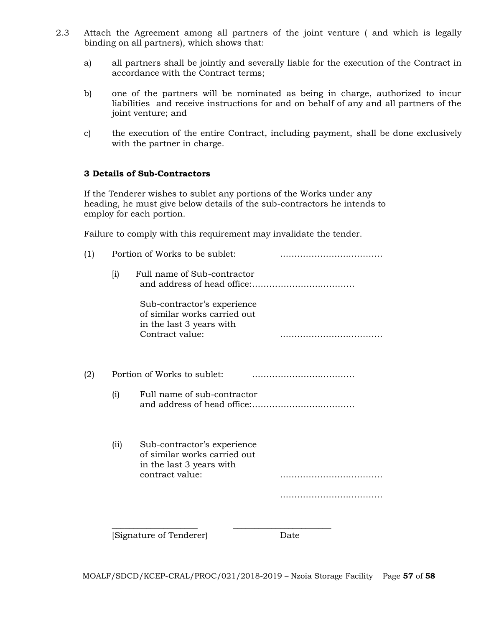- 2.3 Attach the Agreement among all partners of the joint venture ( and which is legally binding on all partners), which shows that:
	- a) all partners shall be jointly and severally liable for the execution of the Contract in accordance with the Contract terms;
	- b) one of the partners will be nominated as being in charge, authorized to incur liabilities and receive instructions for and on behalf of any and all partners of the joint venture; and
	- c) the execution of the entire Contract, including payment, shall be done exclusively with the partner in charge.

#### **3 Details of Sub-Contractors**

If the Tenderer wishes to sublet any portions of the Works under any heading, he must give below details of the sub-contractors he intends to employ for each portion.

Failure to comply with this requirement may invalidate the tender.

|                    | Portion of Works to be sublet:                                                                             |      |
|--------------------|------------------------------------------------------------------------------------------------------------|------|
| $\left[ i \right)$ | Full name of Sub-contractor                                                                                |      |
|                    | Sub-contractor's experience<br>of similar works carried out<br>in the last 3 years with<br>Contract value: |      |
|                    | Portion of Works to sublet:                                                                                |      |
| (i)                | Full name of sub-contractor                                                                                |      |
| (i)                | Sub-contractor's experience<br>of similar works carried out<br>in the last 3 years with<br>contract value: |      |
|                    |                                                                                                            |      |
|                    | Signature of Tenderer)                                                                                     | Date |